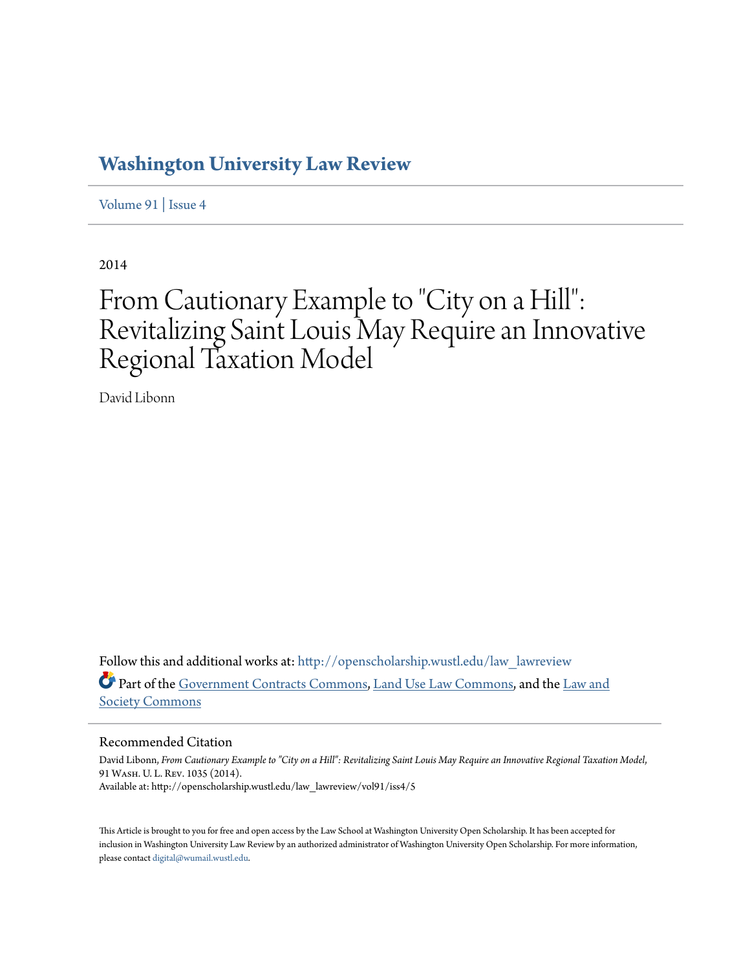# **[Washington University Law Review](http://openscholarship.wustl.edu/law_lawreview?utm_source=openscholarship.wustl.edu%2Flaw_lawreview%2Fvol91%2Fiss4%2F5&utm_medium=PDF&utm_campaign=PDFCoverPages)**

[Volume 91](http://openscholarship.wustl.edu/law_lawreview/vol91?utm_source=openscholarship.wustl.edu%2Flaw_lawreview%2Fvol91%2Fiss4%2F5&utm_medium=PDF&utm_campaign=PDFCoverPages) | [Issue 4](http://openscholarship.wustl.edu/law_lawreview/vol91/iss4?utm_source=openscholarship.wustl.edu%2Flaw_lawreview%2Fvol91%2Fiss4%2F5&utm_medium=PDF&utm_campaign=PDFCoverPages)

2014

# From Cautionary Example to "City on a Hill": Revitalizing Saint Louis May Require an Innovative Regional Taxation Model

David Libonn

Follow this and additional works at: [http://openscholarship.wustl.edu/law\\_lawreview](http://openscholarship.wustl.edu/law_lawreview?utm_source=openscholarship.wustl.edu%2Flaw_lawreview%2Fvol91%2Fiss4%2F5&utm_medium=PDF&utm_campaign=PDFCoverPages) Part of the [Government Contracts Commons](http://network.bepress.com/hgg/discipline/845?utm_source=openscholarship.wustl.edu%2Flaw_lawreview%2Fvol91%2Fiss4%2F5&utm_medium=PDF&utm_campaign=PDFCoverPages), [Land Use Law Commons](http://network.bepress.com/hgg/discipline/852?utm_source=openscholarship.wustl.edu%2Flaw_lawreview%2Fvol91%2Fiss4%2F5&utm_medium=PDF&utm_campaign=PDFCoverPages), and the [Law and](http://network.bepress.com/hgg/discipline/853?utm_source=openscholarship.wustl.edu%2Flaw_lawreview%2Fvol91%2Fiss4%2F5&utm_medium=PDF&utm_campaign=PDFCoverPages) [Society Commons](http://network.bepress.com/hgg/discipline/853?utm_source=openscholarship.wustl.edu%2Flaw_lawreview%2Fvol91%2Fiss4%2F5&utm_medium=PDF&utm_campaign=PDFCoverPages)

## Recommended Citation

David Libonn, *From Cautionary Example to "City on a Hill": Revitalizing Saint Louis May Require an Innovative Regional Taxation Model*, 91 Wash. U. L. Rev. 1035 (2014). Available at: http://openscholarship.wustl.edu/law\_lawreview/vol91/iss4/5

This Article is brought to you for free and open access by the Law School at Washington University Open Scholarship. It has been accepted for inclusion in Washington University Law Review by an authorized administrator of Washington University Open Scholarship. For more information, please contact [digital@wumail.wustl.edu.](mailto:digital@wumail.wustl.edu)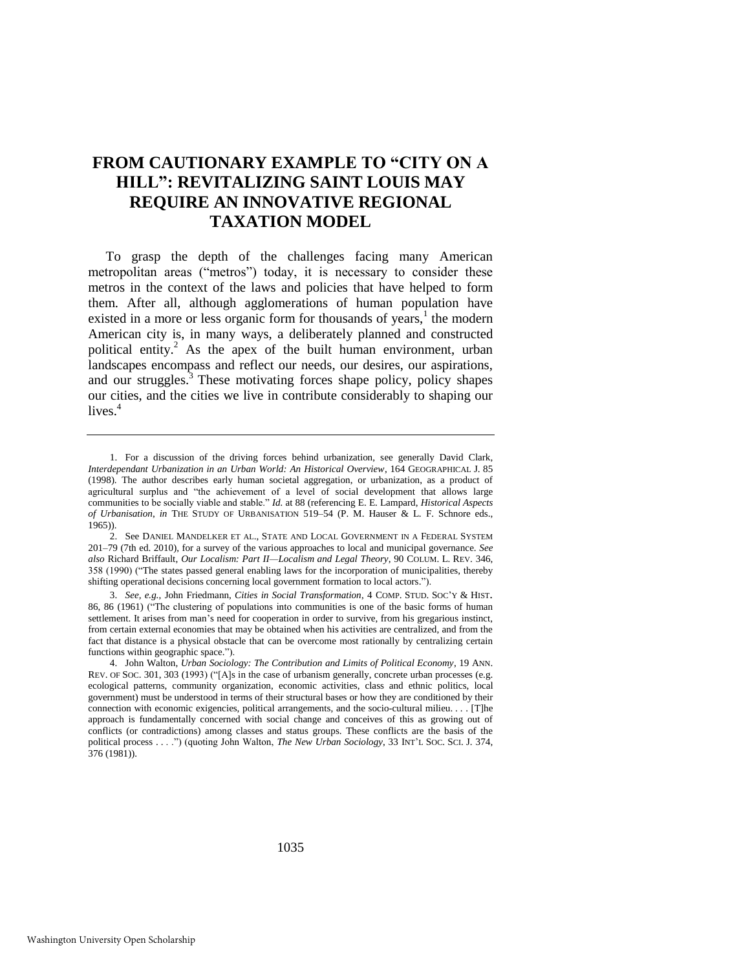# **FROM CAUTIONARY EXAMPLE TO "CITY ON A HILL": REVITALIZING SAINT LOUIS MAY REQUIRE AN INNOVATIVE REGIONAL TAXATION MODEL**

<span id="page-1-0"></span>To grasp the depth of the challenges facing many American metropolitan areas ("metros") today, it is necessary to consider these metros in the context of the laws and policies that have helped to form them. After all, although agglomerations of human population have existed in a more or less organic form for thousands of years, $<sup>1</sup>$  the modern</sup> American city is, in many ways, a deliberately planned and constructed political entity.<sup>2</sup> As the apex of the built human environment, urban landscapes encompass and reflect our needs, our desires, our aspirations, and our struggles.<sup>3</sup> These motivating forces shape policy, policy shapes our cities, and the cities we live in contribute considerably to shaping our lives. $4$ 

1035

<sup>1.</sup> For a discussion of the driving forces behind urbanization, see generally David Clark, *Interdependant Urbanization in an Urban World: An Historical Overview*, 164 GEOGRAPHICAL J. 85 (1998). The author describes early human societal aggregation, or urbanization, as a product of agricultural surplus and "the achievement of a level of social development that allows large communities to be socially viable and stable." *Id.* at 88 (referencing E. E. Lampard, *Historical Aspects of Urbanisation*, *in* THE STUDY OF URBANISATION 519–54 (P. M. Hauser & L. F. Schnore eds.,  $(1965)$ ).

<sup>2.</sup> See DANIEL MANDELKER ET AL., STATE AND LOCAL GOVERNMENT IN A FEDERAL SYSTEM 201–79 (7th ed. 2010), for a survey of the various approaches to local and municipal governance. *See also* Richard Briffault, *Our Localism: Part II—Localism and Legal Theory*, 90 COLUM. L. REV. 346, 358 (1990) ("The states passed general enabling laws for the incorporation of municipalities, thereby shifting operational decisions concerning local government formation to local actors.").

<sup>3.</sup> *See, e.g.*, John Friedmann, *Cities in Social Transformation*, 4 COMP. STUD. SOC'Y & HIST. 86, 86 (1961) ("The clustering of populations into communities is one of the basic forms of human settlement. It arises from man's need for cooperation in order to survive, from his gregarious instinct, from certain external economies that may be obtained when his activities are centralized, and from the fact that distance is a physical obstacle that can be overcome most rationally by centralizing certain functions within geographic space.").

<sup>4.</sup> John Walton, *Urban Sociology: The Contribution and Limits of Political Economy*, 19 ANN. REV. OF SOC. 301, 303 (1993) ("[A]s in the case of urbanism generally, concrete urban processes (e.g. ecological patterns, community organization, economic activities, class and ethnic politics, local government) must be understood in terms of their structural bases or how they are conditioned by their connection with economic exigencies, political arrangements, and the socio-cultural milieu. . . . [T]he approach is fundamentally concerned with social change and conceives of this as growing out of conflicts (or contradictions) among classes and status groups. These conflicts are the basis of the political process . . . .") (quoting John Walton, *The New Urban Sociology*, 33 INT'L SOC. SCI. J. 374, 376 (1981)).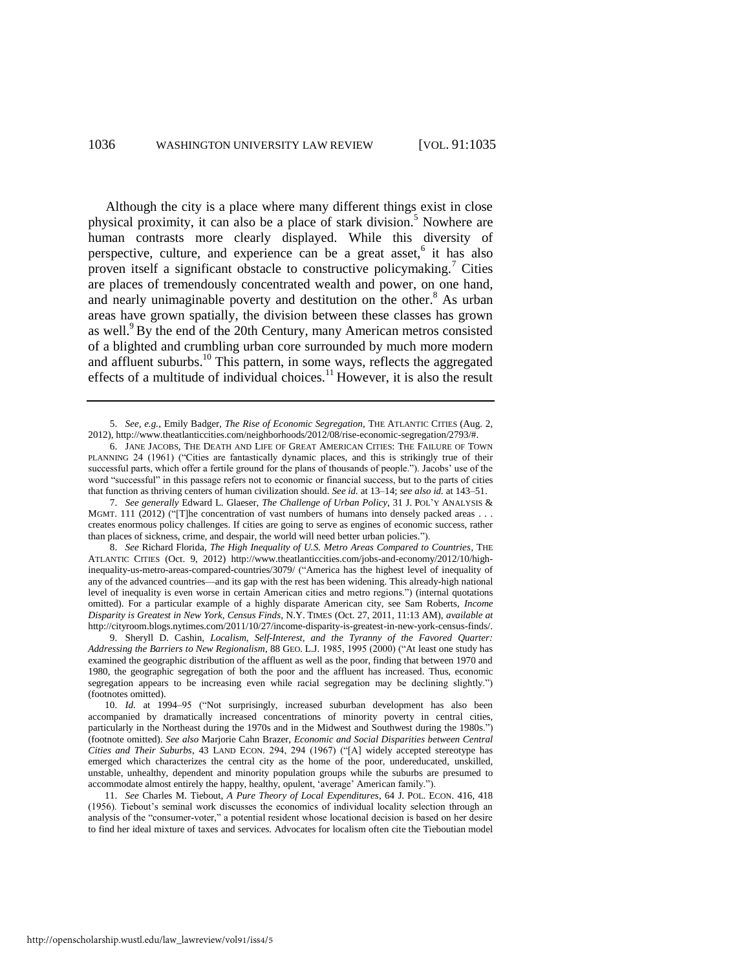<span id="page-2-2"></span>Although the city is a place where many different things exist in close physical proximity, it can also be a place of stark division.<sup>5</sup> Nowhere are human contrasts more clearly displayed. While this diversity of perspective, culture, and experience can be a great asset,<sup>6</sup> it has also proven itself a significant obstacle to constructive policymaking.<sup>7</sup> Cities are places of tremendously concentrated wealth and power, on one hand, and nearly unimaginable poverty and destitution on the other.<sup>8</sup> As urban areas have grown spatially, the division between these classes has grown as well.<sup>9</sup> By the end of the 20th Century, many American metros consisted of a blighted and crumbling urban core surrounded by much more modern and affluent suburbs.<sup>10</sup> This pattern, in some ways, reflects the aggregated effects of a multitude of individual choices.<sup>11</sup> However, it is also the result

<span id="page-2-1"></span><span id="page-2-0"></span><sup>5.</sup> *See, e.g.*, Emily Badger, *The Rise of Economic Segregation*, THE ATLANTIC CITIES (Aug. 2, 2012), http://www.theatlanticcities.com/neighborhoods/2012/08/rise-economic-segregation/2793/#.

<sup>6.</sup> JANE JACOBS, THE DEATH AND LIFE OF GREAT AMERICAN CITIES: THE FAILURE OF TOWN PLANNING 24 (1961) ("Cities are fantastically dynamic places, and this is strikingly true of their successful parts, which offer a fertile ground for the plans of thousands of people."). Jacobs' use of the word "successful" in this passage refers not to economic or financial success, but to the parts of cities that function as thriving centers of human civilization should. *See id.* at 13–14; *see also id.* at 143–51.

<sup>7.</sup> *See generally* Edward L. Glaeser, *The Challenge of Urban Policy*, 31 J. POL'Y ANALYSIS & MGMT. 111 (2012) ("The concentration of vast numbers of humans into densely packed areas . . . creates enormous policy challenges. If cities are going to serve as engines of economic success, rather than places of sickness, crime, and despair, the world will need better urban policies.").

<sup>8.</sup> *See* Richard Florida, *The High Inequality of U.S. Metro Areas Compared to Countries*, THE ATLANTIC CITIES (Oct. 9, 2012) http://www.theatlanticcities.com/jobs-and-economy/2012/10/highinequality-us-metro-areas-compared-countries/3079/ ("America has the highest level of inequality of any of the advanced countries—and its gap with the rest has been widening. This already-high national level of inequality is even worse in certain American cities and metro regions.") (internal quotations omitted). For a particular example of a highly disparate American city, see Sam Roberts, *Income Disparity is Greatest in New York, Census Finds*, N.Y. TIMES (Oct. 27, 2011, 11:13 AM), *available at*  http://cityroom.blogs.nytimes.com/2011/10/27/income-disparity-is-greatest-in-new-york-census-finds/.

<sup>9.</sup> Sheryll D. Cashin, *Localism, Self-Interest, and the Tyranny of the Favored Quarter: Addressing the Barriers to New Regionalism*, 88 GEO. L.J. 1985, 1995 (2000) ("At least one study has examined the geographic distribution of the affluent as well as the poor, finding that between 1970 and 1980, the geographic segregation of both the poor and the affluent has increased. Thus, economic segregation appears to be increasing even while racial segregation may be declining slightly.") (footnotes omitted).

<sup>10.</sup> *Id.* at 1994–95 ("Not surprisingly, increased suburban development has also been accompanied by dramatically increased concentrations of minority poverty in central cities, particularly in the Northeast during the 1970s and in the Midwest and Southwest during the 1980s.") (footnote omitted). *See also* Marjorie Cahn Brazer, *Economic and Social Disparities between Central Cities and Their Suburbs*, 43 LAND ECON. 294, 294 (1967) ("[A] widely accepted stereotype has emerged which characterizes the central city as the home of the poor, undereducated, unskilled, unstable, unhealthy, dependent and minority population groups while the suburbs are presumed to accommodate almost entirely the happy, healthy, opulent, 'average' American family.").

<sup>11.</sup> *See* Charles M. Tiebout, *A Pure Theory of Local Expenditures*, 64 J. POL. ECON. 416, 418 (1956). Tiebout's seminal work discusses the economics of individual locality selection through an analysis of the "consumer-voter," a potential resident whose locational decision is based on her desire to find her ideal mixture of taxes and services. Advocates for localism often cite the Tieboutian model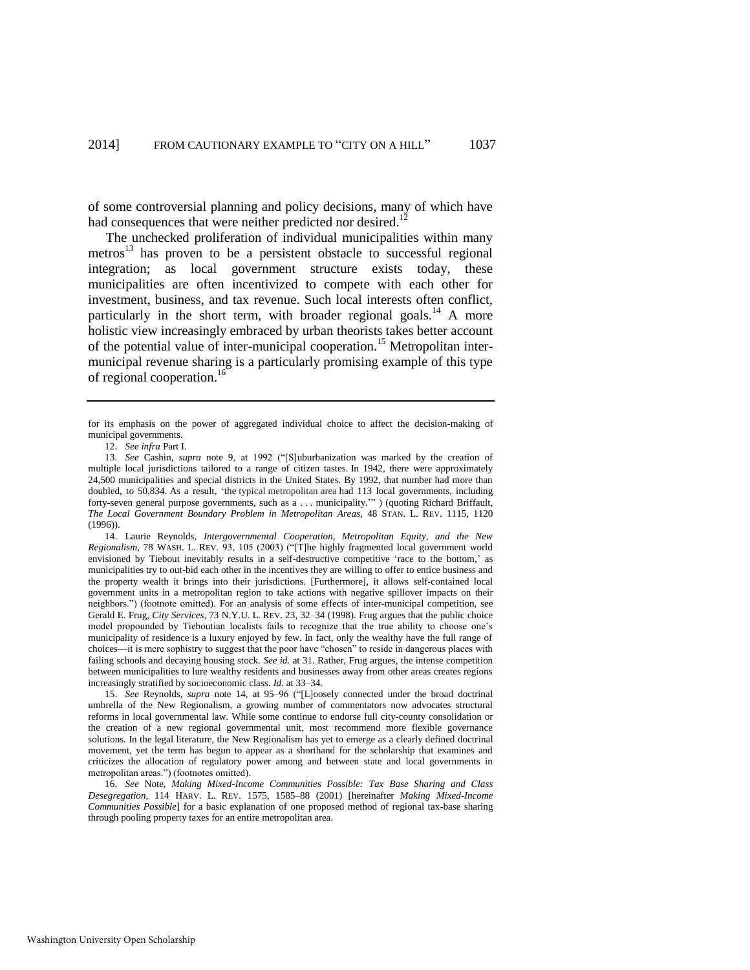of some controversial planning and policy decisions, many of which have had consequences that were neither predicted nor desired.<sup>12</sup>

The unchecked proliferation of individual municipalities within many metros<sup>13</sup> has proven to be a persistent obstacle to successful regional integration; as local government structure exists today, these municipalities are often incentivized to compete with each other for investment, business, and tax revenue. Such local interests often conflict, particularly in the short term, with broader regional goals.<sup>14</sup> A more holistic view increasingly embraced by urban theorists takes better account of the potential value of inter-municipal cooperation.<sup>15</sup> Metropolitan intermunicipal revenue sharing is a particularly promising example of this type of regional cooperation.<sup>16</sup>

<span id="page-3-1"></span><span id="page-3-0"></span>12. *See infra* Part I.

for its emphasis on the power of aggregated individual choice to affect the decision-making of municipal governments.

<sup>13.</sup> *See* Cashin, *supra* note [9,](#page-2-0) at 1992 ("[S]uburbanization was marked by the creation of multiple local jurisdictions tailored to a range of citizen tastes. In 1942, there were approximately 24,500 municipalities and special districts in the United States. By 1992, that number had more than doubled, to 50,834. As a result, 'the typical metropolitan area had 113 local governments, including forty-seven general purpose governments, such as a . . . municipality.'" ) (quoting Richard Briffault, *The Local Government Boundary Problem in Metropolitan Areas*, 48 STAN. L. REV. 1115, 1120 (1996)).

<sup>14.</sup> Laurie Reynolds, *Intergovernmental Cooperation, Metropolitan Equity, and the New Regionalism*, 78 WASH. L. REV. 93, 105 (2003) ("[T]he highly fragmented local government world envisioned by Tiebout inevitably results in a self-destructive competitive 'race to the bottom,' as municipalities try to out-bid each other in the incentives they are willing to offer to entice business and the property wealth it brings into their jurisdictions. [Furthermore], it allows self-contained local government units in a metropolitan region to take actions with negative spillover impacts on their neighbors.") (footnote omitted). For an analysis of some effects of inter-municipal competition, see Gerald E. Frug, *City Services*, 73 N.Y.U. L. REV. 23, 32–34 (1998). Frug argues that the public choice model propounded by Tieboutian localists fails to recognize that the true ability to choose one's municipality of residence is a luxury enjoyed by few. In fact, only the wealthy have the full range of choices—it is mere sophistry to suggest that the poor have "chosen" to reside in dangerous places with failing schools and decaying housing stock. *See id.* at 31. Rather, Frug argues, the intense competition between municipalities to lure wealthy residents and businesses away from other areas creates regions increasingly stratified by socioeconomic class. *Id.* at 33–34.

<sup>15.</sup> *See* Reynolds, *supra* note [14,](#page-3-0) at 95–96 ("[L]oosely connected under the broad doctrinal umbrella of the New Regionalism, a growing number of commentators now advocates structural reforms in local governmental law. While some continue to endorse full city-county consolidation or the creation of a new regional governmental unit, most recommend more flexible governance solutions. In the legal literature, the New Regionalism has yet to emerge as a clearly defined doctrinal movement, yet the term has begun to appear as a shorthand for the scholarship that examines and criticizes the allocation of regulatory power among and between state and local governments in metropolitan areas.") (footnotes omitted).

<sup>16.</sup> *See* Note, *Making Mixed-Income Communities Possible: Tax Base Sharing and Class Desegregation*, 114 HARV. L. REV. 1575, 1585–88 (2001) [hereinafter *Making Mixed-Income Communities Possible*] for a basic explanation of one proposed method of regional tax-base sharing through pooling property taxes for an entire metropolitan area.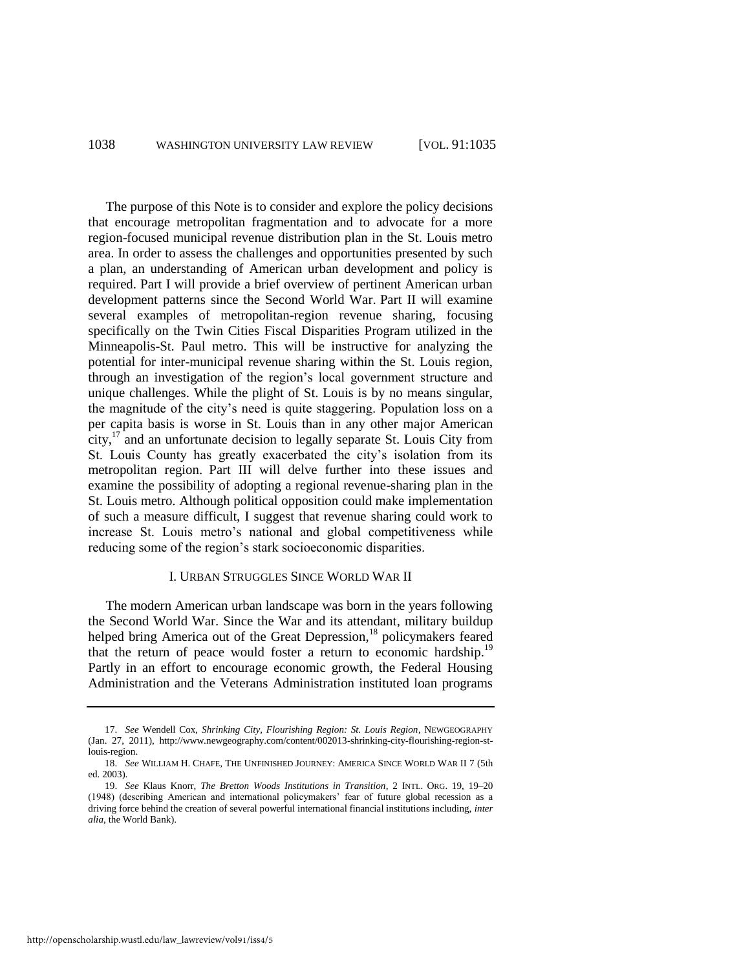The purpose of this Note is to consider and explore the policy decisions that encourage metropolitan fragmentation and to advocate for a more region-focused municipal revenue distribution plan in the St. Louis metro area. In order to assess the challenges and opportunities presented by such a plan, an understanding of American urban development and policy is required. Part I will provide a brief overview of pertinent American urban development patterns since the Second World War. Part II will examine several examples of metropolitan-region revenue sharing, focusing specifically on the Twin Cities Fiscal Disparities Program utilized in the Minneapolis-St. Paul metro. This will be instructive for analyzing the potential for inter-municipal revenue sharing within the St. Louis region, through an investigation of the region's local government structure and unique challenges. While the plight of St. Louis is by no means singular, the magnitude of the city's need is quite staggering. Population loss on a per capita basis is worse in St. Louis than in any other major American  $\text{city}$ ,<sup>17</sup> and an unfortunate decision to legally separate St. Louis City from St. Louis County has greatly exacerbated the city's isolation from its metropolitan region. Part III will delve further into these issues and examine the possibility of adopting a regional revenue-sharing plan in the St. Louis metro. Although political opposition could make implementation of such a measure difficult, I suggest that revenue sharing could work to increase St. Louis metro's national and global competitiveness while reducing some of the region's stark socioeconomic disparities.

## <span id="page-4-0"></span>I. URBAN STRUGGLES SINCE WORLD WAR II

The modern American urban landscape was born in the years following the Second World War. Since the War and its attendant, military buildup helped bring America out of the Great Depression,<sup>18</sup> policymakers feared that the return of peace would foster a return to economic hardship.<sup>19</sup> Partly in an effort to encourage economic growth, the Federal Housing Administration and the Veterans Administration instituted loan programs

<sup>17.</sup> *See* Wendell Cox, *Shrinking City, Flourishing Region: St. Louis Region*, NEWGEOGRAPHY (Jan. 27, 2011), http://www.newgeography.com/content/002013-shrinking-city-flourishing-region-stlouis-region.

<sup>18.</sup> *See* WILLIAM H. CHAFE, THE UNFINISHED JOURNEY: AMERICA SINCE WORLD WAR II 7 (5th ed. 2003).

<sup>19.</sup> *See* Klaus Knorr, *The Bretton Woods Institutions in Transition*, 2 INTL. ORG. 19, 19–20 (1948) (describing American and international policymakers' fear of future global recession as a driving force behind the creation of several powerful international financial institutions including, *inter alia*, the World Bank).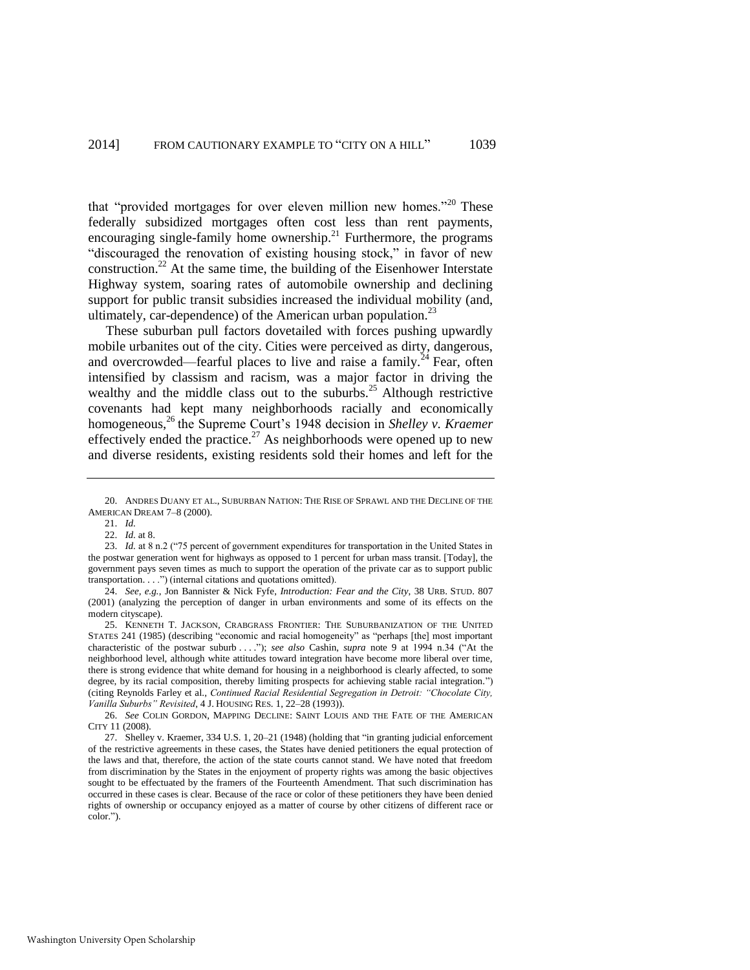<span id="page-5-1"></span>that "provided mortgages for over eleven million new homes."<sup>20</sup> These federally subsidized mortgages often cost less than rent payments, encouraging single-family home ownership.<sup>21</sup> Furthermore, the programs "discouraged the renovation of existing housing stock," in favor of new construction.<sup>22</sup> At the same time, the building of the Eisenhower Interstate Highway system, soaring rates of automobile ownership and declining support for public transit subsidies increased the individual mobility (and, ultimately, car-dependence) of the American urban population.<sup>23</sup>

These suburban pull factors dovetailed with forces pushing upwardly mobile urbanites out of the city. Cities were perceived as dirty, dangerous, and overcrowded—fearful places to live and raise a family.<sup>24</sup> Fear, often intensified by classism and racism, was a major factor in driving the wealthy and the middle class out to the suburbs. $^{25}$  Although restrictive covenants had kept many neighborhoods racially and economically homogeneous,<sup>26</sup> the Supreme Court's 1948 decision in *Shelley v. Kraemer* effectively ended the practice.<sup>27</sup> As neighborhoods were opened up to new and diverse residents, existing residents sold their homes and left for the

22. *Id.* at 8.

24. *See, e.g.*, Jon Bannister & Nick Fyfe, *Introduction: Fear and the City*, 38 URB. STUD. 807 (2001) (analyzing the perception of danger in urban environments and some of its effects on the modern cityscape).

<span id="page-5-0"></span><sup>20.</sup> ANDRES DUANY ET AL., SUBURBAN NATION: THE RISE OF SPRAWL AND THE DECLINE OF THE AMERICAN DREAM 7–8 (2000).

<sup>21.</sup> *Id.*

<sup>23.</sup> *Id.* at 8 n.2 ("75 percent of government expenditures for transportation in the United States in the postwar generation went for highways as opposed to 1 percent for urban mass transit. [Today], the government pays seven times as much to support the operation of the private car as to support public transportation. . . .") (internal citations and quotations omitted).

<sup>25.</sup> KENNETH T. JACKSON, CRABGRASS FRONTIER: THE SUBURBANIZATION OF THE UNITED STATES 241 (1985) (describing "economic and racial homogeneity" as "perhaps [the] most important characteristic of the postwar suburb . . . ."); *see also* Cashin, *supra* note [9](#page-2-0) at 1994 n.34 ("At the neighborhood level, although white attitudes toward integration have become more liberal over time, there is strong evidence that white demand for housing in a neighborhood is clearly affected, to some degree, by its racial composition, thereby limiting prospects for achieving stable racial integration.") (citing Reynolds Farley et al., *Continued Racial Residential Segregation in Detroit: "Chocolate City, Vanilla Suburbs" Revisited*, 4 J. HOUSING RES. 1, 22–28 (1993)).

<sup>26.</sup> *See* COLIN GORDON, MAPPING DECLINE: SAINT LOUIS AND THE FATE OF THE AMERICAN CITY 11 (2008).

<sup>27.</sup> Shelley v. Kraemer, 334 U.S. 1, 20–21 (1948) (holding that "in granting judicial enforcement of the restrictive agreements in these cases, the States have denied petitioners the equal protection of the laws and that, therefore, the action of the state courts cannot stand. We have noted that freedom from discrimination by the States in the enjoyment of property rights was among the basic objectives sought to be effectuated by the framers of the Fourteenth Amendment. That such discrimination has occurred in these cases is clear. Because of the race or color of these petitioners they have been denied rights of ownership or occupancy enjoyed as a matter of course by other citizens of different race or color.").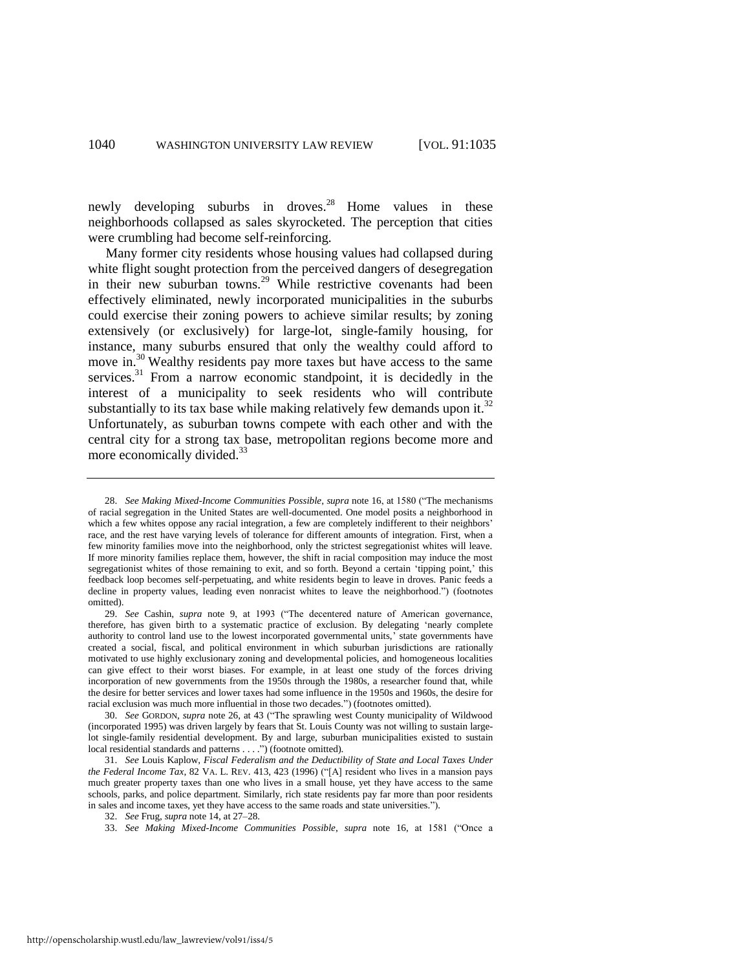newly developing suburbs in droves.<sup>28</sup> Home values in these neighborhoods collapsed as sales skyrocketed. The perception that cities were crumbling had become self-reinforcing.

<span id="page-6-0"></span>Many former city residents whose housing values had collapsed during white flight sought protection from the perceived dangers of desegregation in their new suburban towns.<sup>29</sup> While restrictive covenants had been effectively eliminated, newly incorporated municipalities in the suburbs could exercise their zoning powers to achieve similar results; by zoning extensively (or exclusively) for large-lot, single-family housing, for instance, many suburbs ensured that only the wealthy could afford to move in.<sup>30</sup> Wealthy residents pay more taxes but have access to the same services. $31$  From a narrow economic standpoint, it is decidedly in the interest of a municipality to seek residents who will contribute substantially to its tax base while making relatively few demands upon it.<sup>32</sup> Unfortunately, as suburban towns compete with each other and with the central city for a strong tax base, metropolitan regions become more and more economically divided.<sup>33</sup>

<sup>28.</sup> *See Making Mixed-Income Communities Possible*, *supra* not[e 16,](#page-3-1) at 1580 ("The mechanisms of racial segregation in the United States are well-documented. One model posits a neighborhood in which a few whites oppose any racial integration, a few are completely indifferent to their neighbors' race, and the rest have varying levels of tolerance for different amounts of integration. First, when a few minority families move into the neighborhood, only the strictest segregationist whites will leave. If more minority families replace them, however, the shift in racial composition may induce the most segregationist whites of those remaining to exit, and so forth. Beyond a certain 'tipping point,' this feedback loop becomes self-perpetuating, and white residents begin to leave in droves. Panic feeds a decline in property values, leading even nonracist whites to leave the neighborhood.") (footnotes omitted).

<sup>29.</sup> *See* Cashin, *supra* note [9,](#page-2-0) at 1993 ("The decentered nature of American governance, therefore, has given birth to a systematic practice of exclusion. By delegating 'nearly complete authority to control land use to the lowest incorporated governmental units,' state governments have created a social, fiscal, and political environment in which suburban jurisdictions are rationally motivated to use highly exclusionary zoning and developmental policies, and homogeneous localities can give effect to their worst biases. For example, in at least one study of the forces driving incorporation of new governments from the 1950s through the 1980s, a researcher found that, while the desire for better services and lower taxes had some influence in the 1950s and 1960s, the desire for racial exclusion was much more influential in those two decades.") (footnotes omitted).

<sup>30.</sup> *See* GORDON, *supra* not[e 26,](#page-5-0) at 43 ("The sprawling west County municipality of Wildwood (incorporated 1995) was driven largely by fears that St. Louis County was not willing to sustain largelot single-family residential development. By and large, suburban municipalities existed to sustain local residential standards and patterns . . . .") (footnote omitted).

<sup>31.</sup> *See* Louis Kaplow, *Fiscal Federalism and the Deductibility of State and Local Taxes Under the Federal Income Tax*, 82 VA. L. REV. 413, 423 (1996) ("[A] resident who lives in a mansion pays much greater property taxes than one who lives in a small house, yet they have access to the same schools, parks, and police department. Similarly, rich state residents pay far more than poor residents in sales and income taxes, yet they have access to the same roads and state universities.").

<sup>32.</sup> *See* Frug, *supra* not[e 14,](#page-3-0) at 27–28.

<sup>33.</sup> *See Making Mixed-Income Communities Possible*, *supra* note [16,](#page-3-1) at 1581 ("Once a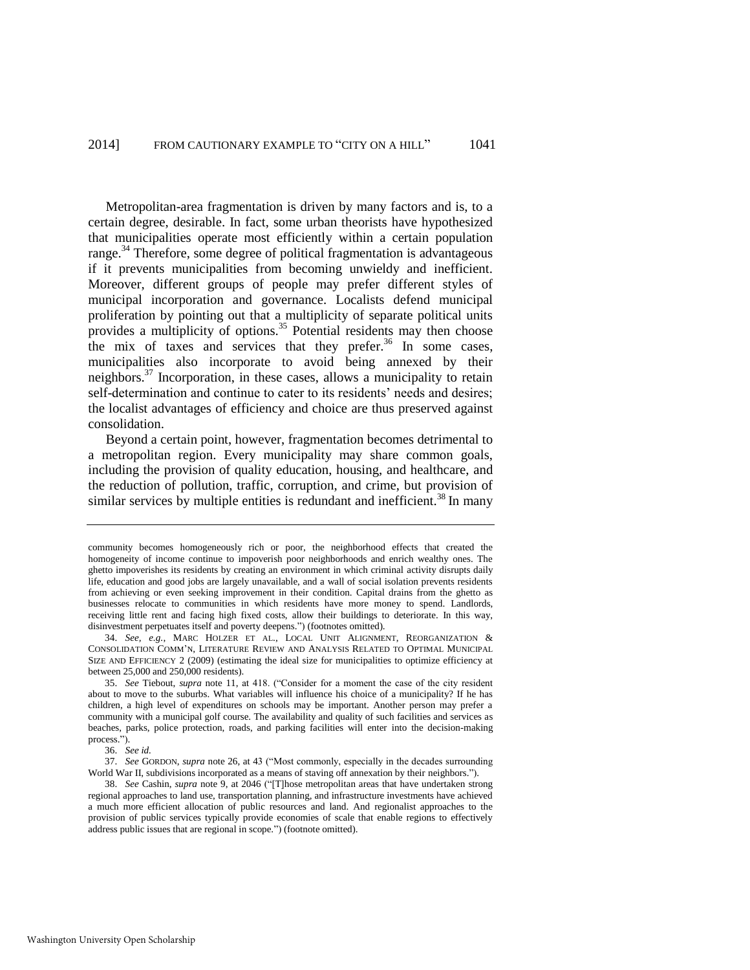Metropolitan-area fragmentation is driven by many factors and is, to a certain degree, desirable. In fact, some urban theorists have hypothesized that municipalities operate most efficiently within a certain population range.<sup>34</sup> Therefore, some degree of political fragmentation is advantageous if it prevents municipalities from becoming unwieldy and inefficient. Moreover, different groups of people may prefer different styles of municipal incorporation and governance. Localists defend municipal proliferation by pointing out that a multiplicity of separate political units provides a multiplicity of options.<sup>35</sup> Potential residents may then choose the mix of taxes and services that they prefer. $36 \text{ In}$  some cases, municipalities also incorporate to avoid being annexed by their neighbors.<sup>37</sup> Incorporation, in these cases, allows a municipality to retain self-determination and continue to cater to its residents' needs and desires; the localist advantages of efficiency and choice are thus preserved against consolidation.

Beyond a certain point, however, fragmentation becomes detrimental to a metropolitan region. Every municipality may share common goals, including the provision of quality education, housing, and healthcare, and the reduction of pollution, traffic, corruption, and crime, but provision of similar services by multiple entities is redundant and inefficient.<sup>38</sup> In many

36. *See id.*

community becomes homogeneously rich or poor, the neighborhood effects that created the homogeneity of income continue to impoverish poor neighborhoods and enrich wealthy ones. The ghetto impoverishes its residents by creating an environment in which criminal activity disrupts daily life, education and good jobs are largely unavailable, and a wall of social isolation prevents residents from achieving or even seeking improvement in their condition. Capital drains from the ghetto as businesses relocate to communities in which residents have more money to spend. Landlords, receiving little rent and facing high fixed costs, allow their buildings to deteriorate. In this way, disinvestment perpetuates itself and poverty deepens.") (footnotes omitted).

<sup>34.</sup> *See, e.g.*, MARC HOLZER ET AL., LOCAL UNIT ALIGNMENT, REORGANIZATION & CONSOLIDATION COMM'N, LITERATURE REVIEW AND ANALYSIS RELATED TO OPTIMAL MUNICIPAL SIZE AND EFFICIENCY 2 (2009) (estimating the ideal size for municipalities to optimize efficiency at between 25,000 and 250,000 residents).

<sup>35.</sup> *See* Tiebout, *supra* note [11,](#page-2-1) at 418. ("Consider for a moment the case of the city resident about to move to the suburbs. What variables will influence his choice of a municipality? If he has children, a high level of expenditures on schools may be important. Another person may prefer a community with a municipal golf course. The availability and quality of such facilities and services as beaches, parks, police protection, roads, and parking facilities will enter into the decision-making process.").

<sup>37.</sup> *See* GORDON, *supra* note [26,](#page-5-0) at 43 ("Most commonly, especially in the decades surrounding World War II, subdivisions incorporated as a means of staving off annexation by their neighbors.").

<sup>38.</sup> *See* Cashin, *supra* note [9,](#page-2-0) at 2046 ("[T]hose metropolitan areas that have undertaken strong regional approaches to land use, transportation planning, and infrastructure investments have achieved a much more efficient allocation of public resources and land. And regionalist approaches to the provision of public services typically provide economies of scale that enable regions to effectively address public issues that are regional in scope.") (footnote omitted).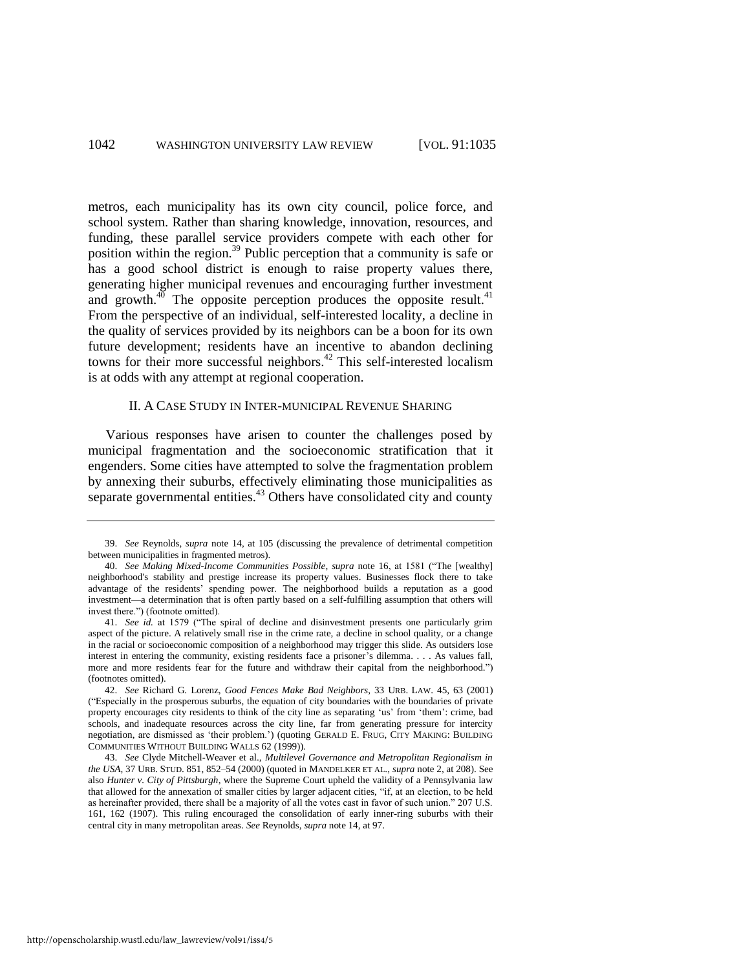metros, each municipality has its own city council, police force, and school system. Rather than sharing knowledge, innovation, resources, and funding, these parallel service providers compete with each other for position within the region.<sup>39</sup> Public perception that a community is safe or has a good school district is enough to raise property values there, generating higher municipal revenues and encouraging further investment and growth. $40$  The opposite perception produces the opposite result. $41$ From the perspective of an individual, self-interested locality, a decline in the quality of services provided by its neighbors can be a boon for its own future development; residents have an incentive to abandon declining towns for their more successful neighbors.<sup>42</sup> This self-interested localism is at odds with any attempt at regional cooperation.

### II. A CASE STUDY IN INTER-MUNICIPAL REVENUE SHARING

Various responses have arisen to counter the challenges posed by municipal fragmentation and the socioeconomic stratification that it engenders. Some cities have attempted to solve the fragmentation problem by annexing their suburbs, effectively eliminating those municipalities as separate governmental entities.<sup>43</sup> Others have consolidated city and county

<sup>39.</sup> *See* Reynolds, *supra* note [14,](#page-3-0) at 105 (discussing the prevalence of detrimental competition between municipalities in fragmented metros).

<sup>40.</sup> *See Making Mixed-Income Communities Possible*, *supra* note [16,](#page-3-1) at 1581 ("The [wealthy] neighborhood's stability and prestige increase its property values. Businesses flock there to take advantage of the residents' spending power. The neighborhood builds a reputation as a good investment—a determination that is often partly based on a self-fulfilling assumption that others will invest there.") (footnote omitted).

<sup>41.</sup> *See id.* at 1579 ("The spiral of decline and disinvestment presents one particularly grim aspect of the picture. A relatively small rise in the crime rate, a decline in school quality, or a change in the racial or socioeconomic composition of a neighborhood may trigger this slide. As outsiders lose interest in entering the community, existing residents face a prisoner's dilemma. . . . As values fall, more and more residents fear for the future and withdraw their capital from the neighborhood.") (footnotes omitted).

<sup>42.</sup> *See* Richard G. Lorenz, *Good Fences Make Bad Neighbors*, 33 URB. LAW. 45, 63 (2001) ("Especially in the prosperous suburbs, the equation of city boundaries with the boundaries of private property encourages city residents to think of the city line as separating 'us' from 'them': crime, bad schools, and inadequate resources across the city line, far from generating pressure for intercity negotiation, are dismissed as 'their problem.') (quoting GERALD E. FRUG, CITY MAKING: BUILDING COMMUNITIES WITHOUT BUILDING WALLS 62 (1999)).

<sup>43.</sup> *See* Clyde Mitchell-Weaver et al., *Multilevel Governance and Metropolitan Regionalism in the USA*, 37 URB. STUD. 851, 852–54 (2000) (quoted in MANDELKER ET AL., *supra* not[e 2,](#page-1-0) at 208). See also *Hunter v. City of Pittsburgh*, where the Supreme Court upheld the validity of a Pennsylvania law that allowed for the annexation of smaller cities by larger adjacent cities, "if, at an election, to be held as hereinafter provided, there shall be a majority of all the votes cast in favor of such union." 207 U.S. 161, 162 (1907). This ruling encouraged the consolidation of early inner-ring suburbs with their central city in many metropolitan areas. *See* Reynolds, *supra* not[e 14,](#page-3-0) at 97.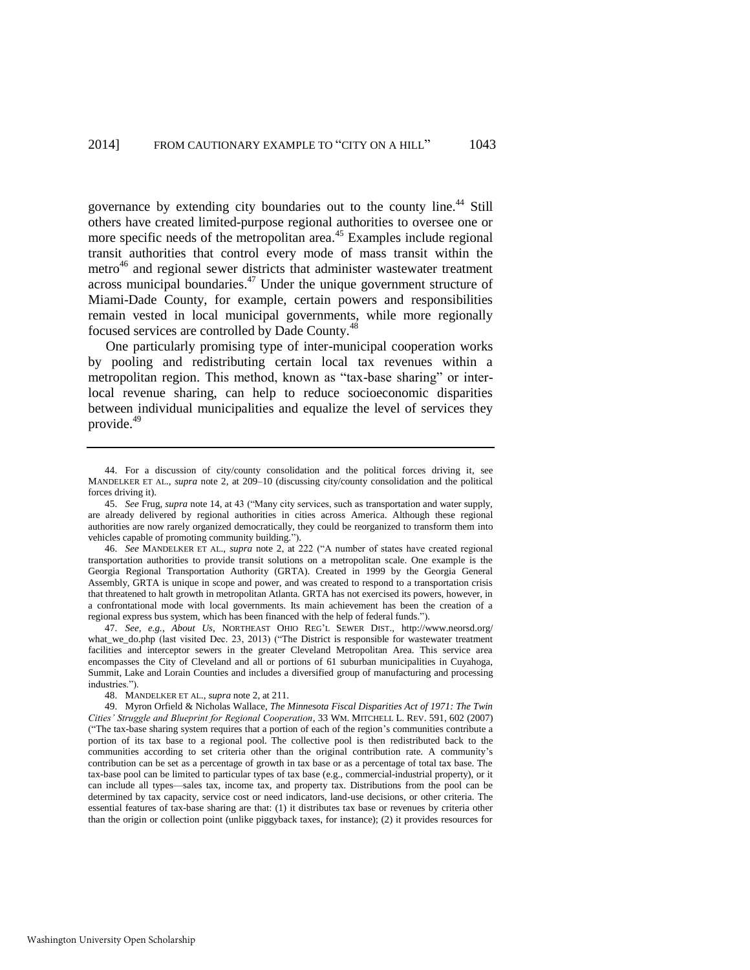governance by extending city boundaries out to the county line.<sup>44</sup> Still others have created limited-purpose regional authorities to oversee one or more specific needs of the metropolitan area.<sup>45</sup> Examples include regional transit authorities that control every mode of mass transit within the metro<sup>46</sup> and regional sewer districts that administer wastewater treatment across municipal boundaries. $47$  Under the unique government structure of Miami-Dade County, for example, certain powers and responsibilities remain vested in local municipal governments, while more regionally focused services are controlled by Dade County.<sup>48</sup>

One particularly promising type of inter-municipal cooperation works by pooling and redistributing certain local tax revenues within a metropolitan region. This method, known as "tax-base sharing" or interlocal revenue sharing, can help to reduce socioeconomic disparities between individual municipalities and equalize the level of services they provide.<sup>49</sup>

47. *See, e.g.*, *About Us*, NORTHEAST OHIO REG'L SEWER DIST., http://www.neorsd.org/ what\_we\_do.php (last visited Dec. 23, 2013) ("The District is responsible for wastewater treatment facilities and interceptor sewers in the greater Cleveland Metropolitan Area. This service area encompasses the City of Cleveland and all or portions of 61 suburban municipalities in Cuyahoga, Summit, Lake and Lorain Counties and includes a diversified group of manufacturing and processing industries.").

<span id="page-9-0"></span><sup>44.</sup> For a discussion of city/county consolidation and the political forces driving it, see MANDELKER ET AL., *supra* note [2,](#page-1-0) at 209–10 (discussing city/county consolidation and the political forces driving it).

<sup>45.</sup> *See* Frug, *supra* not[e 14,](#page-3-0) at 43 ("Many city services, such as transportation and water supply, are already delivered by regional authorities in cities across America. Although these regional authorities are now rarely organized democratically, they could be reorganized to transform them into vehicles capable of promoting community building.").

<sup>46.</sup> *See* MANDELKER ET AL., *supra* note [2,](#page-1-0) at 222 ("A number of states have created regional transportation authorities to provide transit solutions on a metropolitan scale. One example is the Georgia Regional Transportation Authority (GRTA). Created in 1999 by the Georgia General Assembly, GRTA is unique in scope and power, and was created to respond to a transportation crisis that threatened to halt growth in metropolitan Atlanta. GRTA has not exercised its powers, however, in a confrontational mode with local governments. Its main achievement has been the creation of a regional express bus system, which has been financed with the help of federal funds.").

<sup>48.</sup> MANDELKER ET AL., *supra* not[e 2,](#page-1-0) at 211.

<sup>49.</sup> Myron Orfield & Nicholas Wallace, *The Minnesota Fiscal Disparities Act of 1971: The Twin Cities' Struggle and Blueprint for Regional Cooperation*, 33 WM. MITCHELL L. REV. 591, 602 (2007) ("The tax-base sharing system requires that a portion of each of the region's communities contribute a portion of its tax base to a regional pool. The collective pool is then redistributed back to the communities according to set criteria other than the original contribution rate. A community's contribution can be set as a percentage of growth in tax base or as a percentage of total tax base. The tax-base pool can be limited to particular types of tax base (e.g., commercial-industrial property), or it can include all types—sales tax, income tax, and property tax. Distributions from the pool can be determined by tax capacity, service cost or need indicators, land-use decisions, or other criteria. The essential features of tax-base sharing are that: (1) it distributes tax base or revenues by criteria other than the origin or collection point (unlike piggyback taxes, for instance); (2) it provides resources for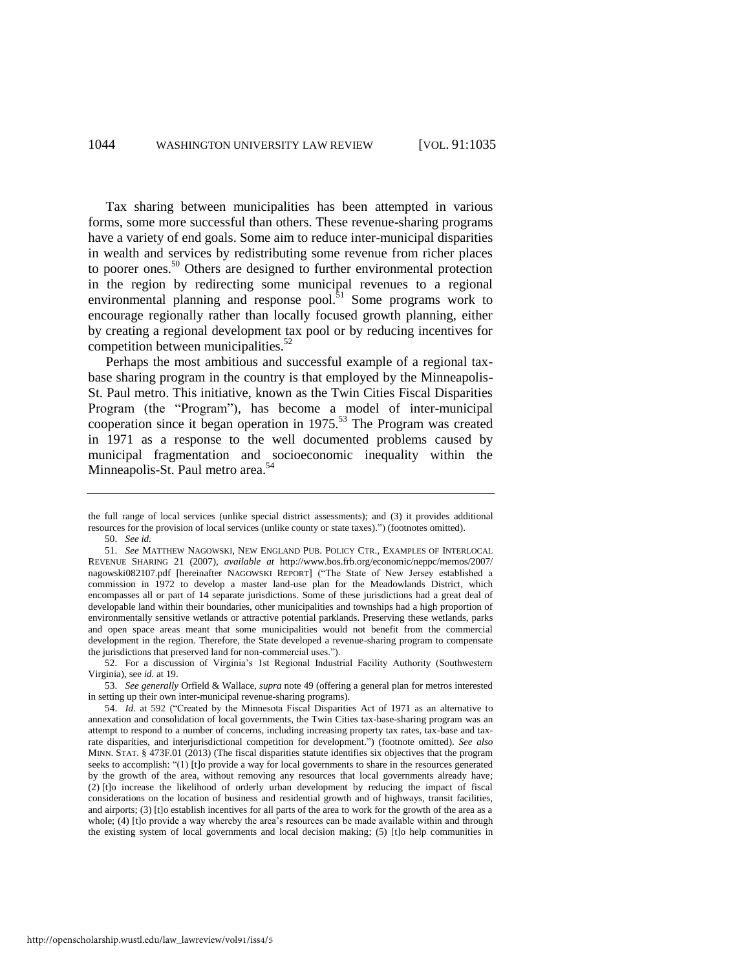Tax sharing between municipalities has been attempted in various forms, some more successful than others. These revenue-sharing programs have a variety of end goals. Some aim to reduce inter-municipal disparities in wealth and services by redistributing some revenue from richer places to poorer ones.<sup>50</sup> Others are designed to further environmental protection in the region by redirecting some municipal revenues to a regional environmental planning and response pool. $51$  Some programs work to encourage regionally rather than locally focused growth planning, either by creating a regional development tax pool or by reducing incentives for competition between municipalities. $52$ 

<span id="page-10-0"></span>Perhaps the most ambitious and successful example of a regional taxbase sharing program in the country is that employed by the Minneapolis-St. Paul metro. This initiative, known as the Twin Cities Fiscal Disparities Program (the "Program"), has become a model of inter-municipal cooperation since it began operation in 1975.<sup>53</sup> The Program was created in 1971 as a response to the well documented problems caused by municipal fragmentation and socioeconomic inequality within the Minneapolis-St. Paul metro area.<sup>54</sup>

the full range of local services (unlike special district assessments); and (3) it provides additional resources for the provision of local services (unlike county or state taxes).") (footnotes omitted).

<sup>50.</sup> *See id.*

<sup>51.</sup> *See* MATTHEW NAGOWSKI, NEW ENGLAND PUB. POLICY CTR., EXAMPLES OF INTERLOCAL REVENUE SHARING 21 (2007), *available at* http://www.bos.frb.org/economic/neppc/memos/2007/ nagowski082107.pdf [hereinafter NAGOWSKI REPORT] ("The State of New Jersey established a commission in 1972 to develop a master land-use plan for the Meadowlands District, which encompasses all or part of 14 separate jurisdictions. Some of these jurisdictions had a great deal of developable land within their boundaries, other municipalities and townships had a high proportion of environmentally sensitive wetlands or attractive potential parklands. Preserving these wetlands, parks and open space areas meant that some municipalities would not benefit from the commercial development in the region. Therefore, the State developed a revenue-sharing program to compensate the jurisdictions that preserved land for non-commercial uses.").

<sup>52.</sup> For a discussion of Virginia's 1st Regional Industrial Facility Authority (Southwestern Virginia), see *id.* at 19.

<sup>53.</sup> *See generally* Orfield & Wallace, *supra* not[e 49](#page-9-0) (offering a general plan for metros interested in setting up their own inter-municipal revenue-sharing programs).

<sup>54.</sup> *Id.* at 592 ("Created by the Minnesota Fiscal Disparities Act of 1971 as an alternative to annexation and consolidation of local governments, the Twin Cities tax-base-sharing program was an attempt to respond to a number of concerns, including increasing property tax rates, tax-base and taxrate disparities, and interjurisdictional competition for development.") (footnote omitted). *See also* MINN. STAT. § 473F.01 (2013) (The fiscal disparities statute identifies six objectives that the program seeks to accomplish: "(1) [t]o provide a way for local governments to share in the resources generated by the growth of the area, without removing any resources that local governments already have; (2) [t]o increase the likelihood of orderly urban development by reducing the impact of fiscal considerations on the location of business and residential growth and of highways, transit facilities, and airports; (3) [t]o establish incentives for all parts of the area to work for the growth of the area as a whole; (4) [t]o provide a way whereby the area's resources can be made available within and through the existing system of local governments and local decision making; (5) [t]o help communities in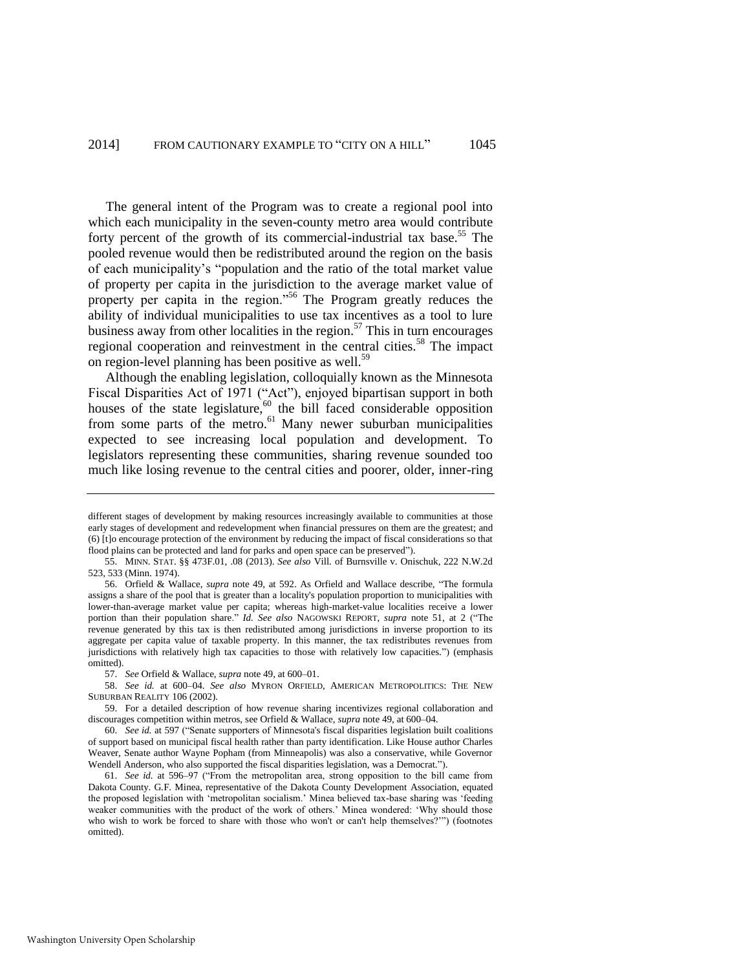The general intent of the Program was to create a regional pool into which each municipality in the seven-county metro area would contribute forty percent of the growth of its commercial-industrial tax base.<sup>55</sup> The pooled revenue would then be redistributed around the region on the basis of each municipality's "population and the ratio of the total market value of property per capita in the jurisdiction to the average market value of property per capita in the region."<sup>56</sup> The Program greatly reduces the ability of individual municipalities to use tax incentives as a tool to lure business away from other localities in the region. $57$  This in turn encourages regional cooperation and reinvestment in the central cities.<sup>58</sup> The impact on region-level planning has been positive as well.<sup>59</sup>

Although the enabling legislation, colloquially known as the Minnesota Fiscal Disparities Act of 1971 ("Act"), enjoyed bipartisan support in both houses of the state legislature, $60$  the bill faced considerable opposition from some parts of the metro.<sup>61</sup> Many newer suburban municipalities expected to see increasing local population and development. To legislators representing these communities, sharing revenue sounded too much like losing revenue to the central cities and poorer, older, inner-ring

58. *See id.* at 600–04. *See also* MYRON ORFIELD, AMERICAN METROPOLITICS: THE NEW SUBURBAN REALITY 106 (2002).

different stages of development by making resources increasingly available to communities at those early stages of development and redevelopment when financial pressures on them are the greatest; and (6) [t]o encourage protection of the environment by reducing the impact of fiscal considerations so that flood plains can be protected and land for parks and open space can be preserved").

<sup>55.</sup> MINN. STAT. §§ 473F.01, .08 (2013). *See also* Vill. of Burnsville v. Onischuk, 222 N.W.2d 523, 533 (Minn. 1974).

<sup>56.</sup> Orfield & Wallace, *supra* note [49,](#page-9-0) at 592. As Orfield and Wallace describe, "The formula assigns a share of the pool that is greater than a locality's population proportion to municipalities with lower-than-average market value per capita; whereas high-market-value localities receive a lower portion than their population share." *Id. See also* NAGOWSKI REPORT, *supra* note [51,](#page-10-0) at 2 ("The revenue generated by this tax is then redistributed among jurisdictions in inverse proportion to its aggregate per capita value of taxable property. In this manner, the tax redistributes revenues from jurisdictions with relatively high tax capacities to those with relatively low capacities.") (emphasis omitted).

<sup>57.</sup> *See* Orfield & Wallace, *supra* not[e 49,](#page-9-0) at 600–01.

<sup>59.</sup> For a detailed description of how revenue sharing incentivizes regional collaboration and discourages competition within metros, see Orfield & Wallace, *supra* not[e 49,](#page-9-0) at 600–04.

<sup>60.</sup> *See id.* at 597 ("Senate supporters of Minnesota's fiscal disparities legislation built coalitions of support based on municipal fiscal health rather than party identification. Like House author Charles Weaver, Senate author Wayne Popham (from Minneapolis) was also a conservative, while Governor Wendell Anderson, who also supported the fiscal disparities legislation, was a Democrat.").

<sup>61.</sup> *See id.* at 596–97 ("From the metropolitan area, strong opposition to the bill came from Dakota County. G.F. Minea, representative of the Dakota County Development Association, equated the proposed legislation with 'metropolitan socialism.' Minea believed tax-base sharing was 'feeding weaker communities with the product of the work of others.' Minea wondered: 'Why should those who wish to work be forced to share with those who won't or can't help themselves?'") (footnotes omitted).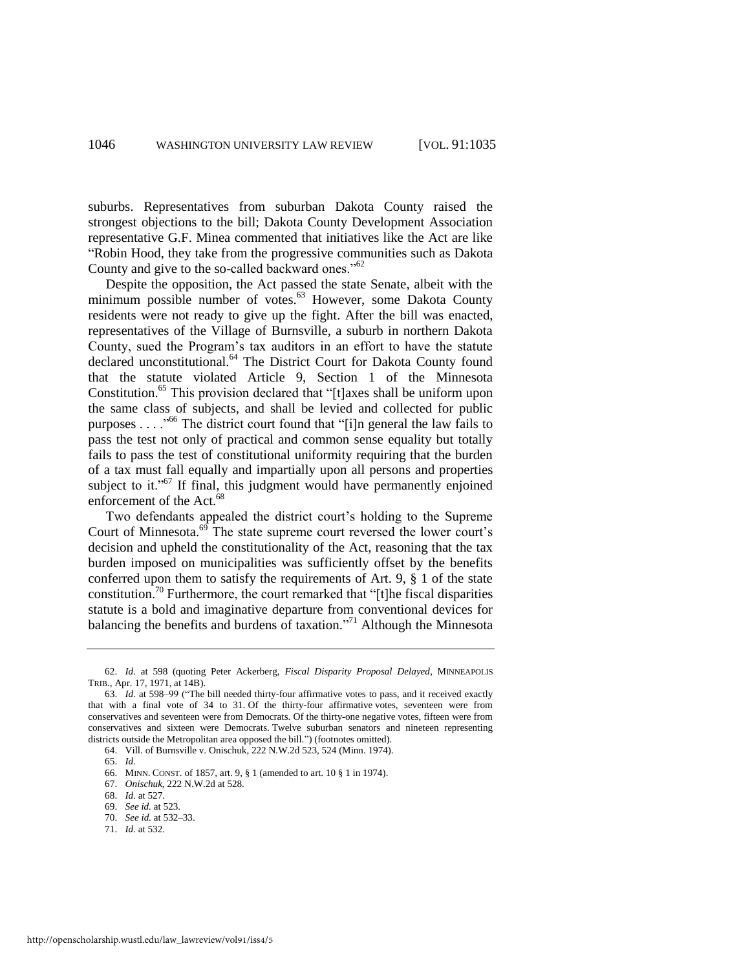suburbs. Representatives from suburban Dakota County raised the strongest objections to the bill; Dakota County Development Association representative G.F. Minea commented that initiatives like the Act are like "Robin Hood, they take from the progressive communities such as Dakota County and give to the so-called backward ones."<sup>62</sup>

Despite the opposition, the Act passed the state Senate, albeit with the minimum possible number of votes.<sup>63</sup> However, some Dakota County residents were not ready to give up the fight. After the bill was enacted, representatives of the Village of Burnsville, a suburb in northern Dakota County, sued the Program's tax auditors in an effort to have the statute declared unconstitutional.<sup>64</sup> The District Court for Dakota County found that the statute violated Article 9, Section 1 of the Minnesota Constitution.<sup>65</sup> This provision declared that "[t]axes shall be uniform upon the same class of subjects, and shall be levied and collected for public purposes . . . ."<sup>66</sup> The district court found that "[i]n general the law fails to pass the test not only of practical and common sense equality but totally fails to pass the test of constitutional uniformity requiring that the burden of a tax must fall equally and impartially upon all persons and properties subject to it."<sup>67</sup> If final, this judgment would have permanently enjoined enforcement of the Act.<sup>68</sup>

Two defendants appealed the district court's holding to the Supreme Court of Minnesota.<sup>69</sup> The state supreme court reversed the lower court's decision and upheld the constitutionality of the Act, reasoning that the tax burden imposed on municipalities was sufficiently offset by the benefits conferred upon them to satisfy the requirements of Art. 9, § 1 of the state constitution.<sup>70</sup> Furthermore, the court remarked that "[t]he fiscal disparities statute is a bold and imaginative departure from conventional devices for balancing the benefits and burdens of taxation."<sup>71</sup> Although the Minnesota

- 70. *See id.* at 532–33.
- 71. *Id.* at 532.

<sup>62.</sup> *Id.* at 598 (quoting Peter Ackerberg, *Fiscal Disparity Proposal Delayed*, MINNEAPOLIS TRIB., Apr. 17, 1971, at 14B).

<sup>63.</sup> *Id.* at 598–99 ("The bill needed thirty-four affirmative votes to pass, and it received exactly that with a final vote of 34 to 31. Of the thirty-four affirmative votes, seventeen were from conservatives and seventeen were from Democrats. Of the thirty-one negative votes, fifteen were from conservatives and sixteen were Democrats. Twelve suburban senators and nineteen representing districts outside the Metropolitan area opposed the bill.") (footnotes omitted).

<sup>64.</sup> Vill. of Burnsville v. Onischuk, 222 N.W.2d 523, 524 (Minn. 1974).

<sup>65.</sup> *Id.*

<sup>66.</sup> MINN. CONST. of 1857, art. 9, § 1 (amended to art. 10 § 1 in 1974).

<sup>67.</sup> *Onischuk*, 222 N.W.2d at 528.

<sup>68.</sup> *Id.* at 527.

<sup>69.</sup> *See id.* at 523.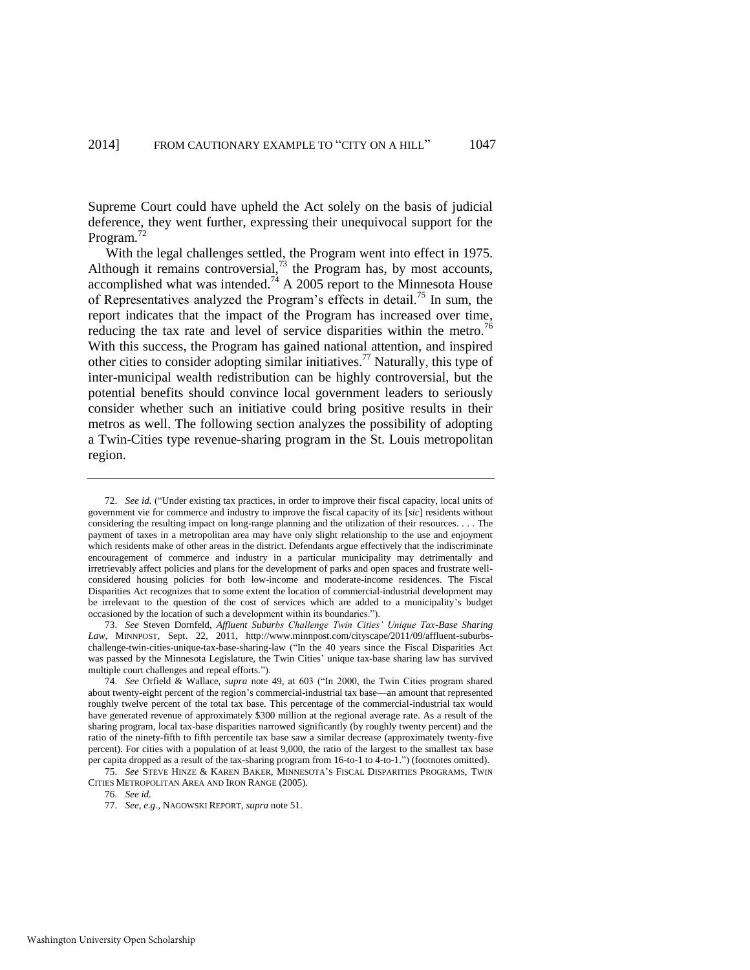Supreme Court could have upheld the Act solely on the basis of judicial deference, they went further, expressing their unequivocal support for the Program.<sup>72</sup>

With the legal challenges settled, the Program went into effect in 1975. Although it remains controversial, $^{73}$  the Program has, by most accounts, accomplished what was intended.<sup>74</sup> A 2005 report to the Minnesota House of Representatives analyzed the Program's effects in detail.<sup>75</sup> In sum, the report indicates that the impact of the Program has increased over time, reducing the tax rate and level of service disparities within the metro.<sup>76</sup> With this success, the Program has gained national attention, and inspired other cities to consider adopting similar initiatives.<sup>77</sup> Naturally, this type of inter-municipal wealth redistribution can be highly controversial, but the potential benefits should convince local government leaders to seriously consider whether such an initiative could bring positive results in their metros as well. The following section analyzes the possibility of adopting a Twin-Cities type revenue-sharing program in the St. Louis metropolitan region.

<sup>72.</sup> *See id.* ("Under existing tax practices, in order to improve their fiscal capacity, local units of government vie for commerce and industry to improve the fiscal capacity of its [*sic*] residents without considering the resulting impact on long-range planning and the utilization of their resources. . . . The payment of taxes in a metropolitan area may have only slight relationship to the use and enjoyment which residents make of other areas in the district. Defendants argue effectively that the indiscriminate encouragement of commerce and industry in a particular municipality may detrimentally and irretrievably affect policies and plans for the development of parks and open spaces and frustrate wellconsidered housing policies for both low-income and moderate-income residences. The Fiscal Disparities Act recognizes that to some extent the location of commercial-industrial development may be irrelevant to the question of the cost of services which are added to a municipality's budget occasioned by the location of such a development within its boundaries.").

<sup>73.</sup> *See* Steven Dornfeld, *Affluent Suburbs Challenge Twin Cities' Unique Tax-Base Sharing Law*, MINNPOST, Sept. 22, 2011, http://www.minnpost.com/cityscape/2011/09/affluent-suburbschallenge-twin-cities-unique-tax-base-sharing-law ("In the 40 years since the Fiscal Disparities Act was passed by the Minnesota Legislature, the Twin Cities' unique tax-base sharing law has survived multiple court challenges and repeal efforts.").

<sup>74.</sup> *See* Orfield & Wallace, *supra* note [49,](#page-9-0) at 603 ("In 2000, the Twin Cities program shared about twenty-eight percent of the region's commercial-industrial tax base—an amount that represented roughly twelve percent of the total tax base. This percentage of the commercial-industrial tax would have generated revenue of approximately \$300 million at the regional average rate. As a result of the sharing program, local tax-base disparities narrowed significantly (by roughly twenty percent) and the ratio of the ninety-fifth to fifth percentile tax base saw a similar decrease (approximately twenty-five percent). For cities with a population of at least 9,000, the ratio of the largest to the smallest tax base per capita dropped as a result of the tax-sharing program from 16-to-1 to 4-to-1.") (footnotes omitted).

<sup>75.</sup> *See* STEVE HINZE & KAREN BAKER, MINNESOTA'S FISCAL DISPARITIES PROGRAMS, TWIN CITIES METROPOLITAN AREA AND IRON RANGE (2005).

<sup>76.</sup> *See id.*

<sup>77.</sup> *See, e.g.*, NAGOWSKI REPORT, *supra* not[e 51.](#page-10-0)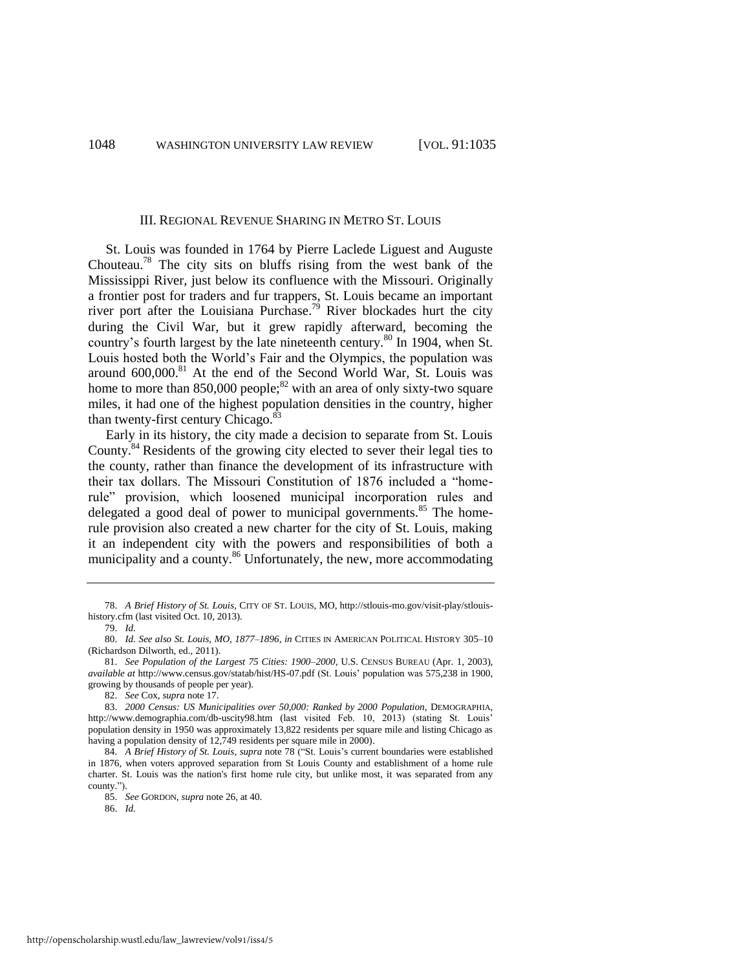#### <span id="page-14-1"></span><span id="page-14-0"></span>III. REGIONAL REVENUE SHARING IN METRO ST. LOUIS

St. Louis was founded in 1764 by Pierre Laclede Liguest and Auguste Chouteau.<sup>78</sup> The city sits on bluffs rising from the west bank of the Mississippi River, just below its confluence with the Missouri. Originally a frontier post for traders and fur trappers, St. Louis became an important river port after the Louisiana Purchase.<sup>79</sup> River blockades hurt the city during the Civil War, but it grew rapidly afterward, becoming the country's fourth largest by the late nineteenth century.<sup>80</sup> In 1904, when St. Louis hosted both the World's Fair and the Olympics, the population was around 600,000.<sup>81</sup> At the end of the Second World War, St. Louis was home to more than  $850,000$  people;<sup>82</sup> with an area of only sixty-two square miles, it had one of the highest population densities in the country, higher than twenty-first century Chicago.<sup>83</sup>

Early in its history, the city made a decision to separate from St. Louis County.<sup>84</sup> Residents of the growing city elected to sever their legal ties to the county, rather than finance the development of its infrastructure with their tax dollars. The Missouri Constitution of 1876 included a "homerule" provision, which loosened municipal incorporation rules and delegated a good deal of power to municipal governments.<sup>85</sup> The homerule provision also created a new charter for the city of St. Louis, making it an independent city with the powers and responsibilities of both a municipality and a county.<sup>86</sup> Unfortunately, the new, more accommodating

86. *Id.*

<sup>78.</sup> *A Brief History of St. Louis*, CITY OF ST. LOUIS, MO, http://stlouis-mo.gov/visit-play/stlouishistory.cfm (last visited Oct. 10, 2013).

<sup>79.</sup> *Id.*

<sup>80.</sup> *Id. See also St. Louis, MO, 1877–1896*, *in* CITIES IN AMERICAN POLITICAL HISTORY 305–10 (Richardson Dilworth, ed., 2011).

<sup>81.</sup> *See Population of the Largest 75 Cities: 1900–2000*, U.S. CENSUS BUREAU (Apr. 1, 2003), *available at* http://www.census.gov/statab/hist/HS-07.pdf (St. Louis' population was 575,238 in 1900, growing by thousands of people per year).

<sup>82.</sup> *See* Cox, *supra* not[e 17.](#page-4-0) 

<sup>83.</sup> *2000 Census: US Municipalities over 50,000: Ranked by 2000 Population*, DEMOGRAPHIA, http://www.demographia.com/db-uscity98.htm (last visited Feb. 10, 2013) (stating St. Louis' population density in 1950 was approximately 13,822 residents per square mile and listing Chicago as having a population density of 12,749 residents per square mile in 2000).

<sup>84.</sup> *A Brief History of St. Louis*, *supra* not[e 78](#page-14-0) ("St. Louis's current boundaries were established in 1876, when voters approved separation from St Louis County and establishment of a home rule charter. St. Louis was the nation's first home rule city, but unlike most, it was separated from any county.").

<sup>85.</sup> *See* GORDON, *supra* not[e 26,](#page-5-0) at 40.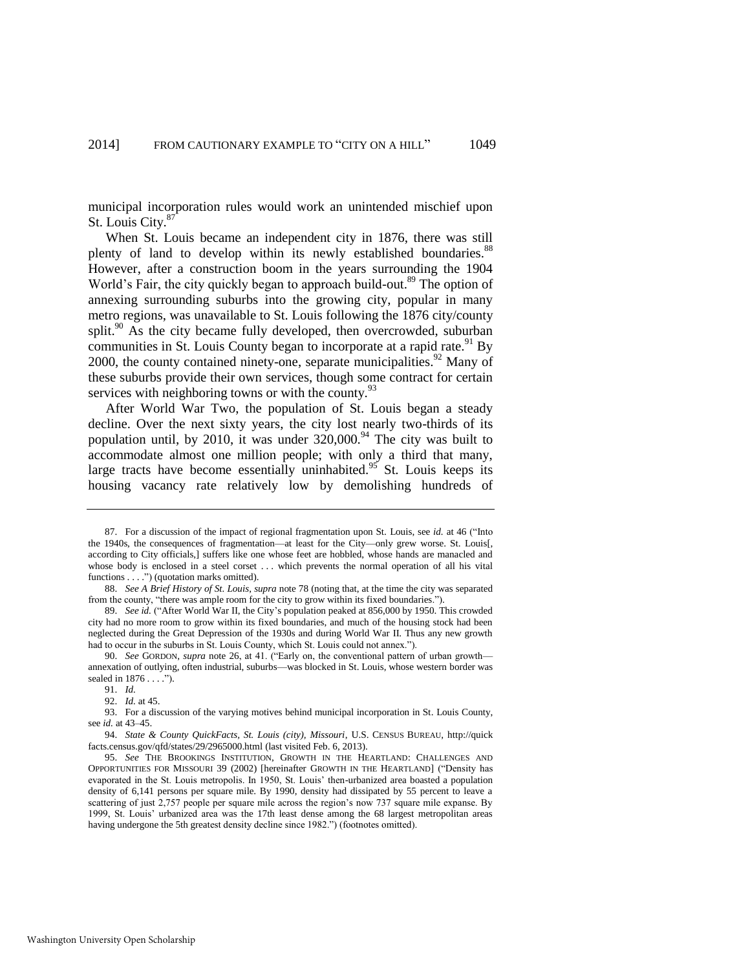municipal incorporation rules would work an unintended mischief upon St. Louis City.<sup>87</sup>

When St. Louis became an independent city in 1876, there was still plenty of land to develop within its newly established boundaries.<sup>88</sup> However, after a construction boom in the years surrounding the 1904 World's Fair, the city quickly began to approach build-out.<sup>89</sup> The option of annexing surrounding suburbs into the growing city, popular in many metro regions, was unavailable to St. Louis following the 1876 city/county split.<sup>90</sup> As the city became fully developed, then overcrowded, suburban communities in St. Louis County began to incorporate at a rapid rate.<sup>91</sup> By 2000, the county contained ninety-one, separate municipalities.<sup>92</sup> Many of these suburbs provide their own services, though some contract for certain services with neighboring towns or with the county.  $93$ 

<span id="page-15-0"></span>After World War Two, the population of St. Louis began a steady decline. Over the next sixty years, the city lost nearly two-thirds of its population until, by 2010, it was under  $320,000$ .<sup>94</sup> The city was built to accommodate almost one million people; with only a third that many, large tracts have become essentially uninhabited.<sup>95</sup> St. Louis keeps its housing vacancy rate relatively low by demolishing hundreds of

<sup>87.</sup> For a discussion of the impact of regional fragmentation upon St. Louis, see *id.* at 46 ("Into the 1940s, the consequences of fragmentation—at least for the City—only grew worse. St. Louis[, according to City officials,] suffers like one whose feet are hobbled, whose hands are manacled and whose body is enclosed in a steel corset . . . which prevents the normal operation of all his vital functions . . . .") (quotation marks omitted).

<sup>88.</sup> *See A Brief History of St. Louis*, *supra* note [78](#page-14-0) (noting that, at the time the city was separated from the county, "there was ample room for the city to grow within its fixed boundaries.").

<sup>89.</sup> *See id.* ("After World War II, the City's population peaked at 856,000 by 1950. This crowded city had no more room to grow within its fixed boundaries, and much of the housing stock had been neglected during the Great Depression of the 1930s and during World War II. Thus any new growth had to occur in the suburbs in St. Louis County, which St. Louis could not annex.").

<sup>90.</sup> *See* GORDON, *supra* note [26,](#page-5-0) at 41. ("Early on, the conventional pattern of urban growth annexation of outlying, often industrial, suburbs—was blocked in St. Louis, whose western border was sealed in 1876 . . . . ").

<sup>91.</sup> *Id.*

<sup>92.</sup> *Id.* at 45.

<sup>93.</sup> For a discussion of the varying motives behind municipal incorporation in St. Louis County, see *id.* at 43–45.

<sup>94.</sup> *State & County QuickFacts, St. Louis (city), Missouri*, U.S. CENSUS BUREAU, http://quick facts.census.gov/qfd/states/29/2965000.html (last visited Feb. 6, 2013).

<sup>95.</sup> *See* THE BROOKINGS INSTITUTION, GROWTH IN THE HEARTLAND: CHALLENGES AND OPPORTUNITIES FOR MISSOURI 39 (2002) [hereinafter GROWTH IN THE HEARTLAND] ("Density has evaporated in the St. Louis metropolis. In 1950, St. Louis' then-urbanized area boasted a population density of 6,141 persons per square mile. By 1990, density had dissipated by 55 percent to leave a scattering of just 2,757 people per square mile across the region's now 737 square mile expanse. By 1999, St. Louis' urbanized area was the 17th least dense among the 68 largest metropolitan areas having undergone the 5th greatest density decline since 1982.") (footnotes omitted).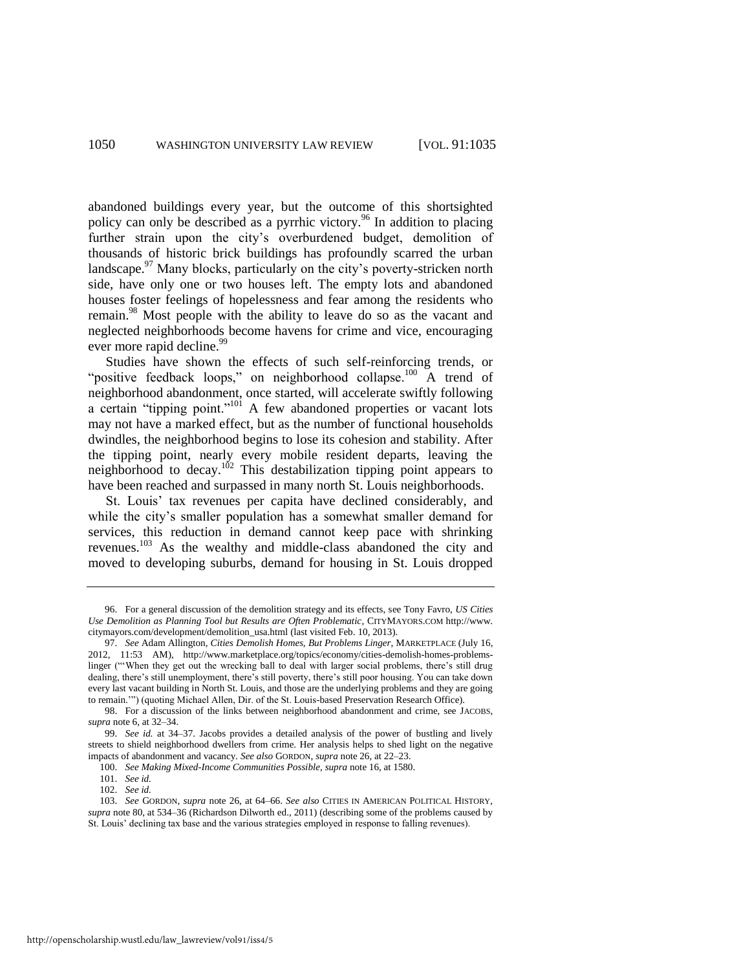abandoned buildings every year, but the outcome of this shortsighted policy can only be described as a pyrrhic victory.<sup>96</sup> In addition to placing further strain upon the city's overburdened budget, demolition of thousands of historic brick buildings has profoundly scarred the urban landscape.  $\frac{97}{100}$  Many blocks, particularly on the city's poverty-stricken north side, have only one or two houses left. The empty lots and abandoned houses foster feelings of hopelessness and fear among the residents who remain.<sup>98</sup> Most people with the ability to leave do so as the vacant and neglected neighborhoods become havens for crime and vice, encouraging ever more rapid decline.<sup>99</sup>

Studies have shown the effects of such self-reinforcing trends, or "positive feedback loops," on neighborhood collapse.<sup>100</sup> A trend of neighborhood abandonment, once started, will accelerate swiftly following a certain "tipping point."<sup>101</sup> A few abandoned properties or vacant lots may not have a marked effect, but as the number of functional households dwindles, the neighborhood begins to lose its cohesion and stability. After the tipping point, nearly every mobile resident departs, leaving the neighborhood to decay.<sup>102</sup> This destabilization tipping point appears to have been reached and surpassed in many north St. Louis neighborhoods.

St. Louis' tax revenues per capita have declined considerably, and while the city's smaller population has a somewhat smaller demand for services, this reduction in demand cannot keep pace with shrinking revenues.<sup>103</sup> As the wealthy and middle-class abandoned the city and moved to developing suburbs, demand for housing in St. Louis dropped

<sup>96.</sup> For a general discussion of the demolition strategy and its effects, see Tony Favro, *US Cities Use Demolition as Planning Tool but Results are Often Problematic*, CITYMAYORS.COM http://www. citymayors.com/development/demolition\_usa.html (last visited Feb. 10, 2013).

<sup>97.</sup> *See* Adam Allington, *Cities Demolish Homes, But Problems Linger*, MARKETPLACE (July 16, 2012, 11:53 AM), http://www.marketplace.org/topics/economy/cities-demolish-homes-problemslinger ("When they get out the wrecking ball to deal with larger social problems, there's still drug dealing, there's still unemployment, there's still poverty, there's still poor housing. You can take down every last vacant building in North St. Louis, and those are the underlying problems and they are going to remain.'") (quoting Michael Allen, Dir. of the St. Louis-based Preservation Research Office).

<sup>98.</sup> For a discussion of the links between neighborhood abandonment and crime, see JACOBS, *supra* not[e 6,](#page-2-2) at 32–34.

<sup>99.</sup> *See id.* at 34–37. Jacobs provides a detailed analysis of the power of bustling and lively streets to shield neighborhood dwellers from crime. Her analysis helps to shed light on the negative impacts of abandonment and vacancy. *See also* GORDON, *supra* not[e 26,](#page-5-0) at 22–23.

<sup>100.</sup> *See Making Mixed-Income Communities Possible*, *supra* not[e 16,](#page-3-1) at 1580.

<sup>101.</sup> *See id.*

<sup>102.</sup> *See id.*

<sup>103.</sup> *See* GORDON, *supra* note [26,](#page-5-0) at 64–66. *See also* CITIES IN AMERICAN POLITICAL HISTORY, *supra* not[e 80,](#page-14-1) at 534–36 (Richardson Dilworth ed., 2011) (describing some of the problems caused by St. Louis' declining tax base and the various strategies employed in response to falling revenues).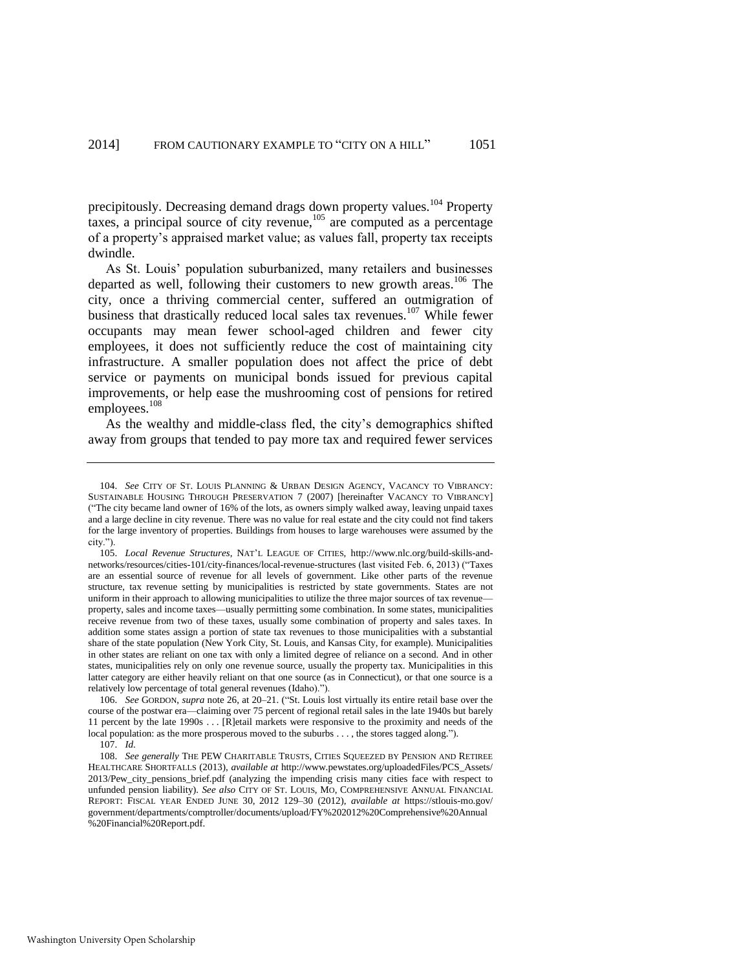precipitously. Decreasing demand drags down property values.<sup>104</sup> Property taxes, a principal source of city revenue, $105$  are computed as a percentage of a property's appraised market value; as values fall, property tax receipts dwindle.

As St. Louis' population suburbanized, many retailers and businesses departed as well, following their customers to new growth areas.<sup>106</sup> The city, once a thriving commercial center, suffered an outmigration of business that drastically reduced local sales tax revenues.<sup>107</sup> While fewer occupants may mean fewer school-aged children and fewer city employees, it does not sufficiently reduce the cost of maintaining city infrastructure. A smaller population does not affect the price of debt service or payments on municipal bonds issued for previous capital improvements, or help ease the mushrooming cost of pensions for retired employees.<sup>108</sup>

As the wealthy and middle-class fled, the city's demographics shifted away from groups that tended to pay more tax and required fewer services

<sup>104.</sup> *See* CITY OF ST. LOUIS PLANNING & URBAN DESIGN AGENCY, VACANCY TO VIBRANCY: SUSTAINABLE HOUSING THROUGH PRESERVATION 7 (2007) [hereinafter VACANCY TO VIBRANCY] ("The city became land owner of 16% of the lots, as owners simply walked away, leaving unpaid taxes and a large decline in city revenue. There was no value for real estate and the city could not find takers for the large inventory of properties. Buildings from houses to large warehouses were assumed by the city.").

<sup>105.</sup> *Local Revenue Structures*, NAT'L LEAGUE OF CITIES, http://www.nlc.org/build-skills-andnetworks/resources/cities-101/city-finances/local-revenue-structures (last visited Feb. 6, 2013) ("Taxes are an essential source of revenue for all levels of government. Like other parts of the revenue structure, tax revenue setting by municipalities is restricted by state governments. States are not uniform in their approach to allowing municipalities to utilize the three major sources of tax revenue property, sales and income taxes—usually permitting some combination. In some states, municipalities receive revenue from two of these taxes, usually some combination of property and sales taxes. In addition some states assign a portion of state tax revenues to those municipalities with a substantial share of the state population (New York City, St. Louis, and Kansas City, for example). Municipalities in other states are reliant on one tax with only a limited degree of reliance on a second. And in other states, municipalities rely on only one revenue source, usually the property tax. Municipalities in this latter category are either heavily reliant on that one source (as in Connecticut), or that one source is a relatively low percentage of total general revenues (Idaho).").

<sup>106.</sup> *See* GORDON, *supra* not[e 26,](#page-5-0) at 20–21. ("St. Louis lost virtually its entire retail base over the course of the postwar era—claiming over 75 percent of regional retail sales in the late 1940s but barely 11 percent by the late 1990s . . . [R]etail markets were responsive to the proximity and needs of the local population: as the more prosperous moved to the suburbs . . . , the stores tagged along.").

<sup>107.</sup> *Id.*

<sup>108.</sup> *See generally* THE PEW CHARITABLE TRUSTS, CITIES SQUEEZED BY PENSION AND RETIREE HEALTHCARE SHORTFALLS (2013), *available at* http://www.pewstates.org/uploadedFiles/PCS\_Assets/ 2013/Pew\_city\_pensions\_brief.pdf (analyzing the impending crisis many cities face with respect to unfunded pension liability). *See also* CITY OF ST. LOUIS, MO, COMPREHENSIVE ANNUAL FINANCIAL REPORT: FISCAL YEAR ENDED JUNE 30, 2012 129–30 (2012), *available at* https://stlouis-mo.gov/ government/departments/comptroller/documents/upload/FY%202012%20Comprehensive%20Annual %20Financial%20Report.pdf.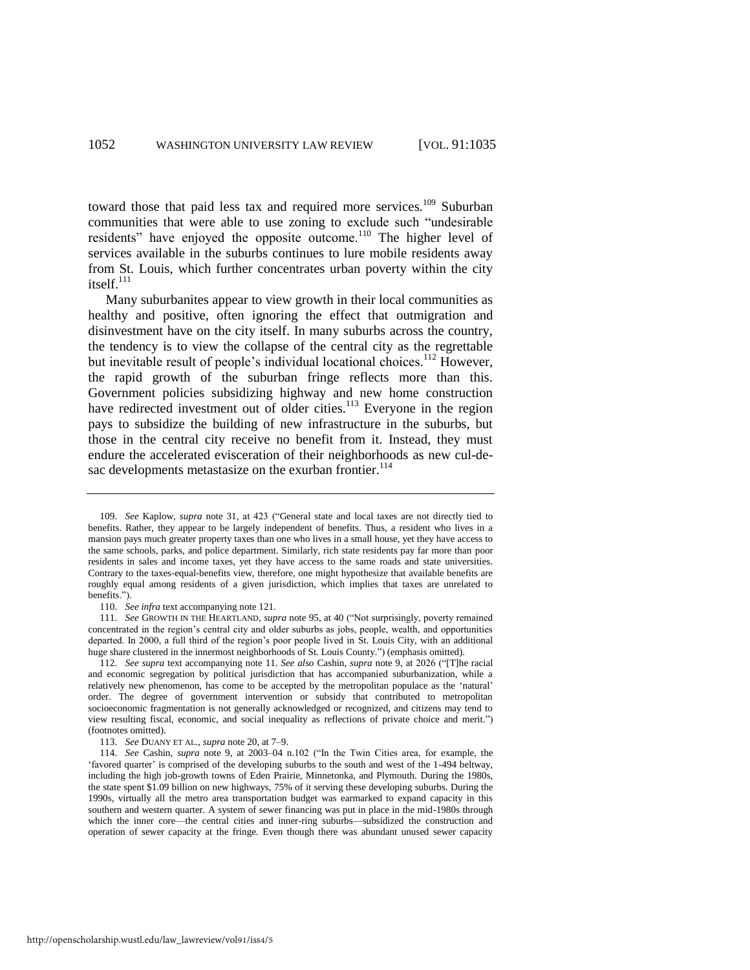toward those that paid less tax and required more services.<sup>109</sup> Suburban communities that were able to use zoning to exclude such "undesirable residents" have enjoyed the opposite outcome.<sup>110</sup> The higher level of services available in the suburbs continues to lure mobile residents away from St. Louis, which further concentrates urban poverty within the city itself. $^{111}$ 

Many suburbanites appear to view growth in their local communities as healthy and positive, often ignoring the effect that outmigration and disinvestment have on the city itself. In many suburbs across the country, the tendency is to view the collapse of the central city as the regrettable but inevitable result of people's individual locational choices.<sup>112</sup> However, the rapid growth of the suburban fringe reflects more than this. Government policies subsidizing highway and new home construction have redirected investment out of older cities.<sup>113</sup> Everyone in the region pays to subsidize the building of new infrastructure in the suburbs, but those in the central city receive no benefit from it. Instead, they must endure the accelerated evisceration of their neighborhoods as new cul-desac developments metastasize on the exurban frontier.<sup>114</sup>

<sup>109.</sup> *See* Kaplow, *supra* note [31,](#page-6-0) at 423 ("General state and local taxes are not directly tied to benefits. Rather, they appear to be largely independent of benefits. Thus, a resident who lives in a mansion pays much greater property taxes than one who lives in a small house, yet they have access to the same schools, parks, and police department. Similarly, rich state residents pay far more than poor residents in sales and income taxes, yet they have access to the same roads and state universities. Contrary to the taxes-equal-benefits view, therefore, one might hypothesize that available benefits are roughly equal among residents of a given jurisdiction, which implies that taxes are unrelated to benefits.").

<sup>110.</sup> *See infra* text accompanying not[e 121.](#page-20-0) 

<sup>111.</sup> *See* GROWTH IN THE HEARTLAND, *supra* not[e 95,](#page-15-0) at 40 ("Not surprisingly, poverty remained concentrated in the region's central city and older suburbs as jobs, people, wealth, and opportunities departed. In 2000, a full third of the region's poor people lived in St. Louis City, with an additional huge share clustered in the innermost neighborhoods of St. Louis County.") (emphasis omitted).

<sup>112.</sup> *See supra* text accompanying note [11.](#page-2-1) *See also* Cashin, *supra* note [9,](#page-2-0) at 2026 ("[T]he racial and economic segregation by political jurisdiction that has accompanied suburbanization, while a relatively new phenomenon, has come to be accepted by the metropolitan populace as the 'natural' order. The degree of government intervention or subsidy that contributed to metropolitan socioeconomic fragmentation is not generally acknowledged or recognized, and citizens may tend to view resulting fiscal, economic, and social inequality as reflections of private choice and merit.") (footnotes omitted).

<sup>113.</sup> *See* DUANY ET AL., *supra* note [20,](#page-5-1) at 7–9.

<sup>114.</sup> *See* Cashin, *supra* note [9,](#page-2-0) at 2003–04 n.102 ("In the Twin Cities area, for example, the 'favored quarter' is comprised of the developing suburbs to the south and west of the 1-494 beltway, including the high job-growth towns of Eden Prairie, Minnetonka, and Plymouth. During the 1980s, the state spent \$1.09 billion on new highways, 75% of it serving these developing suburbs. During the 1990s, virtually all the metro area transportation budget was earmarked to expand capacity in this southern and western quarter. A system of sewer financing was put in place in the mid-1980s through which the inner core—the central cities and inner-ring suburbs—subsidized the construction and operation of sewer capacity at the fringe. Even though there was abundant unused sewer capacity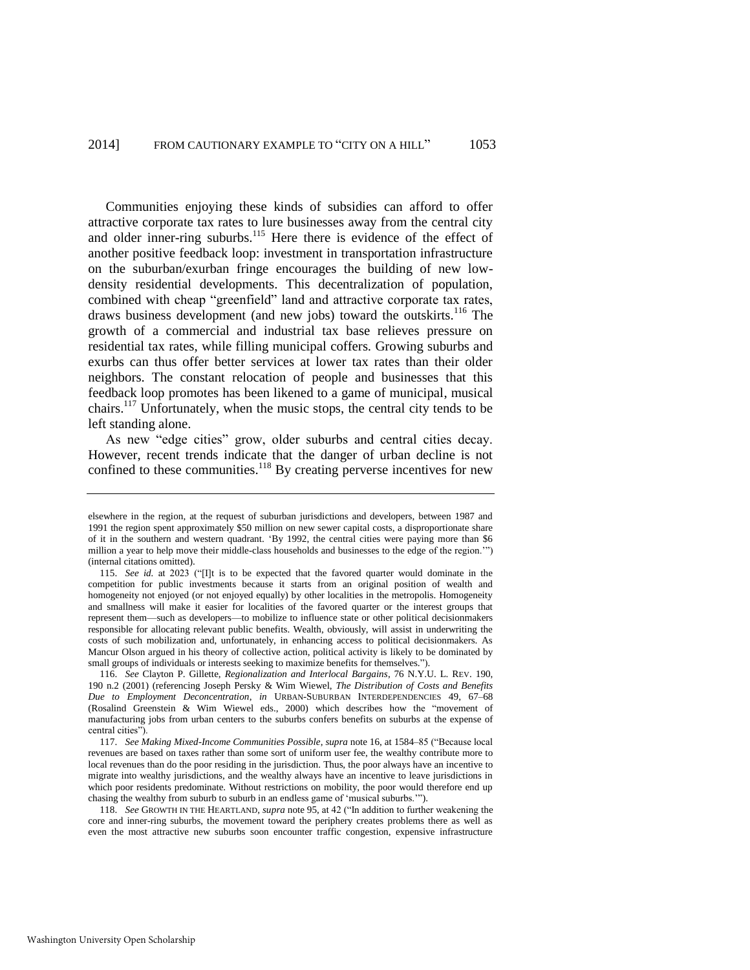<span id="page-19-0"></span>Communities enjoying these kinds of subsidies can afford to offer attractive corporate tax rates to lure businesses away from the central city and older inner-ring suburbs.<sup>115</sup> Here there is evidence of the effect of another positive feedback loop: investment in transportation infrastructure on the suburban/exurban fringe encourages the building of new lowdensity residential developments. This decentralization of population, combined with cheap "greenfield" land and attractive corporate tax rates, draws business development (and new jobs) toward the outskirts.<sup>116</sup> The growth of a commercial and industrial tax base relieves pressure on residential tax rates, while filling municipal coffers. Growing suburbs and exurbs can thus offer better services at lower tax rates than their older neighbors. The constant relocation of people and businesses that this feedback loop promotes has been likened to a game of municipal, musical chairs.<sup>117</sup> Unfortunately, when the music stops, the central city tends to be left standing alone.

As new "edge cities" grow, older suburbs and central cities decay. However, recent trends indicate that the danger of urban decline is not confined to these communities.<sup>118</sup> By creating perverse incentives for new

elsewhere in the region, at the request of suburban jurisdictions and developers, between 1987 and 1991 the region spent approximately \$50 million on new sewer capital costs, a disproportionate share of it in the southern and western quadrant. 'By 1992, the central cities were paying more than \$6 million a year to help move their middle-class households and businesses to the edge of the region.'") (internal citations omitted).

<sup>115.</sup> *See id.* at 2023 ("[I]t is to be expected that the favored quarter would dominate in the competition for public investments because it starts from an original position of wealth and homogeneity not enjoyed (or not enjoyed equally) by other localities in the metropolis. Homogeneity and smallness will make it easier for localities of the favored quarter or the interest groups that represent them—such as developers—to mobilize to influence state or other political decisionmakers responsible for allocating relevant public benefits. Wealth, obviously, will assist in underwriting the costs of such mobilization and, unfortunately, in enhancing access to political decisionmakers. As Mancur Olson argued in his theory of collective action, political activity is likely to be dominated by small groups of individuals or interests seeking to maximize benefits for themselves.").

<sup>116.</sup> *See* Clayton P. Gillette, *Regionalization and Interlocal Bargains*, 76 N.Y.U. L. REV. 190, 190 n.2 (2001) (referencing Joseph Persky & Wim Wiewel, *The Distribution of Costs and Benefits Due to Employment Deconcentration*, *in* URBAN-SUBURBAN INTERDEPENDENCIES 49, 67–68 (Rosalind Greenstein & Wim Wiewel eds., 2000) which describes how the "movement of manufacturing jobs from urban centers to the suburbs confers benefits on suburbs at the expense of central cities").

<sup>117.</sup> *See Making Mixed-Income Communities Possible*, *supra* not[e 16,](#page-3-1) at 1584–85 ("Because local revenues are based on taxes rather than some sort of uniform user fee, the wealthy contribute more to local revenues than do the poor residing in the jurisdiction. Thus, the poor always have an incentive to migrate into wealthy jurisdictions, and the wealthy always have an incentive to leave jurisdictions in which poor residents predominate. Without restrictions on mobility, the poor would therefore end up chasing the wealthy from suburb to suburb in an endless game of 'musical suburbs.'").

<sup>118.</sup> *See* GROWTH IN THE HEARTLAND, *supra* not[e 95,](#page-15-0) at 42 ("In addition to further weakening the core and inner-ring suburbs, the movement toward the periphery creates problems there as well as even the most attractive new suburbs soon encounter traffic congestion, expensive infrastructure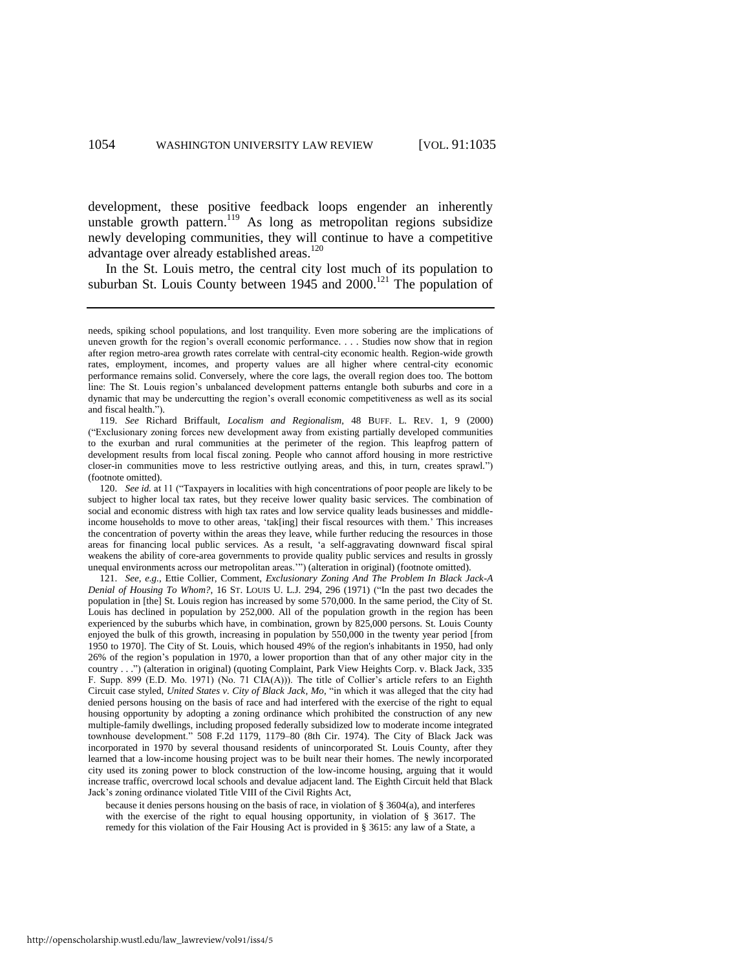development, these positive feedback loops engender an inherently unstable growth pattern.<sup>119</sup> As long as metropolitan regions subsidize newly developing communities, they will continue to have a competitive advantage over already established areas.<sup>120</sup>

<span id="page-20-0"></span>In the St. Louis metro, the central city lost much of its population to suburban St. Louis County between  $1945$  and  $2000$ .<sup>121</sup> The population of

120. *See id.* at 11 ("Taxpayers in localities with high concentrations of poor people are likely to be subject to higher local tax rates, but they receive lower quality basic services. The combination of social and economic distress with high tax rates and low service quality leads businesses and middleincome households to move to other areas, 'tak[ing] their fiscal resources with them.' This increases the concentration of poverty within the areas they leave, while further reducing the resources in those areas for financing local public services. As a result, 'a self-aggravating downward fiscal spiral weakens the ability of core-area governments to provide quality public services and results in grossly unequal environments across our metropolitan areas.'") (alteration in original) (footnote omitted).

121. *See, e.g.*, Ettie Collier, Comment, *Exclusionary Zoning And The Problem In Black Jack-A Denial of Housing To Whom?*, 16 ST. LOUIS U. L.J. 294, 296 (1971) ("In the past two decades the population in [the] St. Louis region has increased by some 570,000. In the same period, the City of St. Louis has declined in population by 252,000. All of the population growth in the region has been experienced by the suburbs which have, in combination, grown by 825,000 persons. St. Louis County enjoyed the bulk of this growth, increasing in population by 550,000 in the twenty year period [from 1950 to 1970]. The City of St. Louis, which housed 49% of the region's inhabitants in 1950, had only 26% of the region's population in 1970, a lower proportion than that of any other major city in the country . . .") (alteration in original) (quoting Complaint, Park View Heights Corp. v. Black Jack, 335 F. Supp. 899 (E.D. Mo. 1971) (No. 71 CIA(A))). The title of Collier's article refers to an Eighth Circuit case styled, *United States v. City of Black Jack, Mo*, "in which it was alleged that the city had denied persons housing on the basis of race and had interfered with the exercise of the right to equal housing opportunity by adopting a zoning ordinance which prohibited the construction of any new multiple-family dwellings, including proposed federally subsidized low to moderate income integrated townhouse development." 508 F.2d 1179, 1179–80 (8th Cir. 1974). The City of Black Jack was incorporated in 1970 by several thousand residents of unincorporated St. Louis County, after they learned that a low-income housing project was to be built near their homes. The newly incorporated city used its zoning power to block construction of the low-income housing, arguing that it would increase traffic, overcrowd local schools and devalue adjacent land. The Eighth Circuit held that Black Jack's zoning ordinance violated Title VIII of the Civil Rights Act,

because it denies persons housing on the basis of race, in violation of § 3604(a), and interferes with the exercise of the right to equal housing opportunity, in violation of § 3617. The remedy for this violation of the Fair Housing Act is provided in § 3615: any law of a State, a

needs, spiking school populations, and lost tranquility. Even more sobering are the implications of uneven growth for the region's overall economic performance. . . . Studies now show that in region after region metro-area growth rates correlate with central-city economic health. Region-wide growth rates, employment, incomes, and property values are all higher where central-city economic performance remains solid. Conversely, where the core lags, the overall region does too. The bottom line: The St. Louis region's unbalanced development patterns entangle both suburbs and core in a dynamic that may be undercutting the region's overall economic competitiveness as well as its social and fiscal health.").

<sup>119.</sup> *See* Richard Briffault, *Localism and Regionalism*, 48 BUFF. L. REV. 1, 9 (2000) ("Exclusionary zoning forces new development away from existing partially developed communities to the exurban and rural communities at the perimeter of the region. This leapfrog pattern of development results from local fiscal zoning. People who cannot afford housing in more restrictive closer-in communities move to less restrictive outlying areas, and this, in turn, creates sprawl.") (footnote omitted).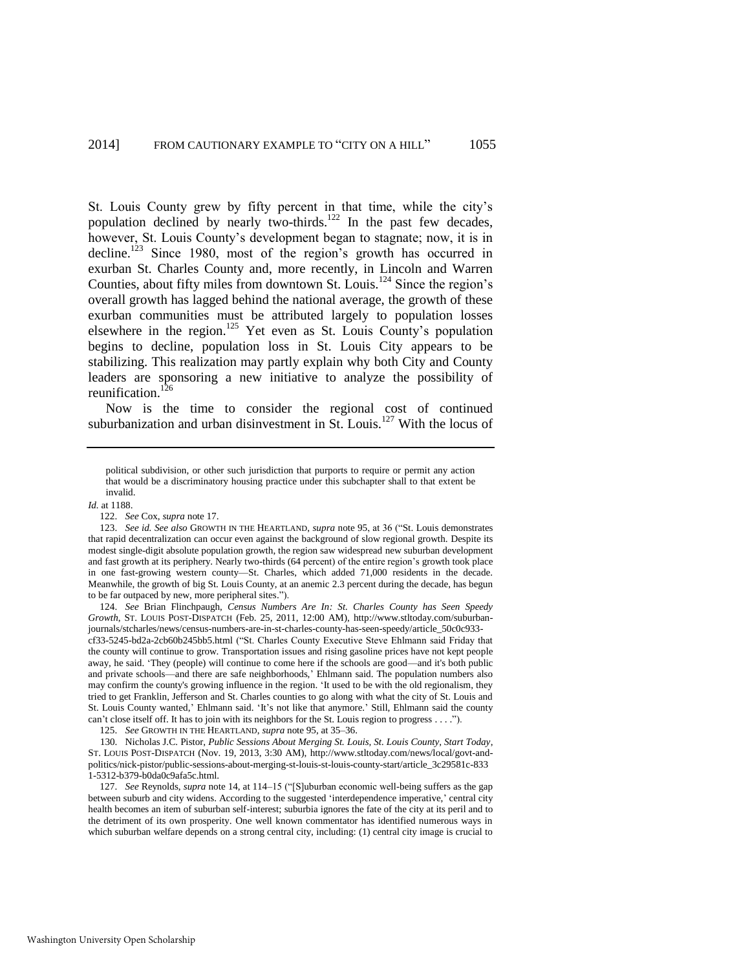St. Louis County grew by fifty percent in that time, while the city's population declined by nearly two-thirds.<sup>122</sup> In the past few decades, however, St. Louis County's development began to stagnate; now, it is in decline.<sup>123</sup> Since 1980, most of the region's growth has occurred in exurban St. Charles County and, more recently, in Lincoln and Warren Counties, about fifty miles from downtown St. Louis.<sup>124</sup> Since the region's overall growth has lagged behind the national average, the growth of these exurban communities must be attributed largely to population losses elsewhere in the region.<sup>125</sup> Yet even as St. Louis County's population begins to decline, population loss in St. Louis City appears to be stabilizing. This realization may partly explain why both City and County leaders are sponsoring a new initiative to analyze the possibility of reunification. $126$ 

Now is the time to consider the regional cost of continued suburbanization and urban disinvestment in  $St.$  Louis.<sup>127</sup> With the locus of

#### *Id.* at 1188.

122. *See* Cox, *supra* not[e 17.](#page-4-0) 

124. *See* Brian Flinchpaugh, *Census Numbers Are In: St. Charles County has Seen Speedy Growth*, ST. LOUIS POST-DISPATCH (Feb. 25, 2011, 12:00 AM), http://www.stltoday.com/suburbanjournals/stcharles/news/census-numbers-are-in-st-charles-county-has-seen-speedy/article\_50c0c933-

cf33-5245-bd2a-2cb60b245bb5.html ("St. Charles County Executive Steve Ehlmann said Friday that the county will continue to grow. Transportation issues and rising gasoline prices have not kept people away, he said. 'They (people) will continue to come here if the schools are good—and it's both public and private schools—and there are safe neighborhoods,' Ehlmann said. The population numbers also may confirm the county's growing influence in the region. 'It used to be with the old regionalism, they tried to get Franklin, Jefferson and St. Charles counties to go along with what the city of St. Louis and St. Louis County wanted,' Ehlmann said. 'It's not like that anymore.' Still, Ehlmann said the county can't close itself off. It has to join with its neighbors for the St. Louis region to progress . . . .").

125. *See* GROWTH IN THE HEARTLAND, *supra* not[e 95,](#page-15-0) at 35–36.

 130. Nicholas J.C. Pistor, *Public Sessions About Merging St. Louis, St. Louis County, Start Today*, ST. LOUIS POST-DISPATCH (Nov. 19, 2013, 3:30 AM), http://www.stltoday.com/news/local/govt-andpolitics/nick-pistor/public-sessions-about-merging-st-louis-st-louis-county-start/article\_3c29581c-833 1-5312-b379-b0da0c9afa5c.html.

127. *See* Reynolds, *supra* not[e 14,](#page-3-0) at 114–15 ("[S]uburban economic well-being suffers as the gap between suburb and city widens. According to the suggested 'interdependence imperative,' central city health becomes an item of suburban self-interest; suburbia ignores the fate of the city at its peril and to the detriment of its own prosperity. One well known commentator has identified numerous ways in which suburban welfare depends on a strong central city, including: (1) central city image is crucial to

political subdivision, or other such jurisdiction that purports to require or permit any action that would be a discriminatory housing practice under this subchapter shall to that extent be invalid.

<sup>123.</sup> *See id. See also* GROWTH IN THE HEARTLAND, *supra* note [95,](#page-15-0) at 36 ("St. Louis demonstrates that rapid decentralization can occur even against the background of slow regional growth. Despite its modest single-digit absolute population growth, the region saw widespread new suburban development and fast growth at its periphery. Nearly two-thirds (64 percent) of the entire region's growth took place in one fast-growing western county—St. Charles, which added 71,000 residents in the decade. Meanwhile, the growth of big St. Louis County, at an anemic 2.3 percent during the decade, has begun to be far outpaced by new, more peripheral sites.").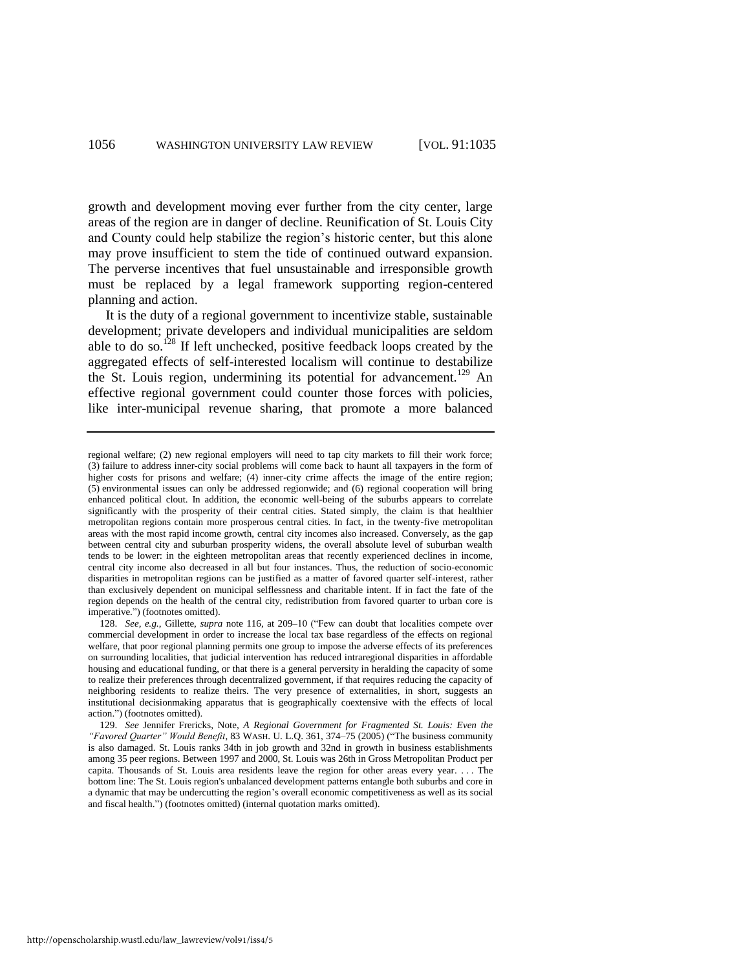growth and development moving ever further from the city center, large areas of the region are in danger of decline. Reunification of St. Louis City and County could help stabilize the region's historic center, but this alone may prove insufficient to stem the tide of continued outward expansion. The perverse incentives that fuel unsustainable and irresponsible growth must be replaced by a legal framework supporting region-centered planning and action.

It is the duty of a regional government to incentivize stable, sustainable development; private developers and individual municipalities are seldom able to do so.<sup>128</sup> If left unchecked, positive feedback loops created by the aggregated effects of self-interested localism will continue to destabilize the St. Louis region, undermining its potential for advancement.<sup>129</sup> An effective regional government could counter those forces with policies, like inter-municipal revenue sharing, that promote a more balanced

http://openscholarship.wustl.edu/law\_lawreview/vol91/iss4/5

regional welfare; (2) new regional employers will need to tap city markets to fill their work force; (3) failure to address inner-city social problems will come back to haunt all taxpayers in the form of higher costs for prisons and welfare; (4) inner-city crime affects the image of the entire region; (5) environmental issues can only be addressed regionwide; and (6) regional cooperation will bring enhanced political clout. In addition, the economic well-being of the suburbs appears to correlate significantly with the prosperity of their central cities. Stated simply, the claim is that healthier metropolitan regions contain more prosperous central cities. In fact, in the twenty-five metropolitan areas with the most rapid income growth, central city incomes also increased. Conversely, as the gap between central city and suburban prosperity widens, the overall absolute level of suburban wealth tends to be lower: in the eighteen metropolitan areas that recently experienced declines in income, central city income also decreased in all but four instances. Thus, the reduction of socio-economic disparities in metropolitan regions can be justified as a matter of favored quarter self-interest, rather than exclusively dependent on municipal selflessness and charitable intent. If in fact the fate of the region depends on the health of the central city, redistribution from favored quarter to urban core is imperative.") (footnotes omitted).

<sup>128.</sup> *See, e.g.*, Gillette, *supra* note [116,](#page-19-0) at 209–10 ("Few can doubt that localities compete over commercial development in order to increase the local tax base regardless of the effects on regional welfare, that poor regional planning permits one group to impose the adverse effects of its preferences on surrounding localities, that judicial intervention has reduced intraregional disparities in affordable housing and educational funding, or that there is a general perversity in heralding the capacity of some to realize their preferences through decentralized government, if that requires reducing the capacity of neighboring residents to realize theirs. The very presence of externalities, in short, suggests an institutional decisionmaking apparatus that is geographically coextensive with the effects of local action.") (footnotes omitted).

<sup>129.</sup> *See* Jennifer Frericks, Note, *A Regional Government for Fragmented St. Louis: Even the "Favored Quarter" Would Benefit*, 83 WASH. U. L.Q. 361, 374–75 (2005) ("The business community is also damaged. St. Louis ranks 34th in job growth and 32nd in growth in business establishments among 35 peer regions. Between 1997 and 2000, St. Louis was 26th in Gross Metropolitan Product per capita. Thousands of St. Louis area residents leave the region for other areas every year. . . . The bottom line: The St. Louis region's unbalanced development patterns entangle both suburbs and core in a dynamic that may be undercutting the region's overall economic competitiveness as well as its social and fiscal health.") (footnotes omitted) (internal quotation marks omitted).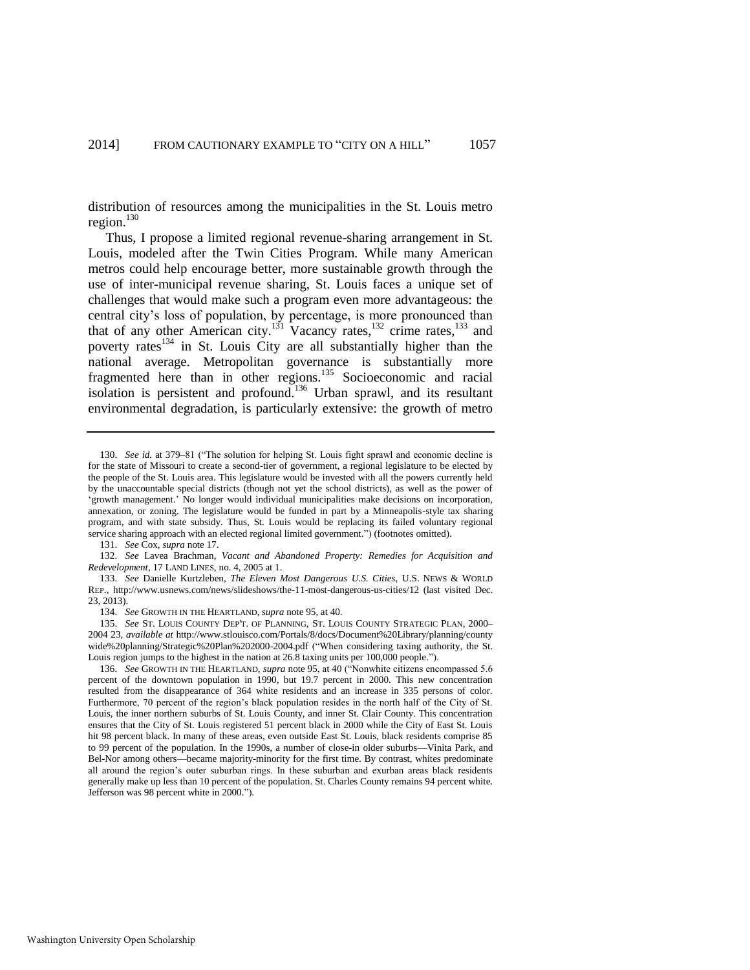distribution of resources among the municipalities in the St. Louis metro region.<sup>130</sup>

Thus, I propose a limited regional revenue-sharing arrangement in St. Louis, modeled after the Twin Cities Program. While many American metros could help encourage better, more sustainable growth through the use of inter-municipal revenue sharing, St. Louis faces a unique set of challenges that would make such a program even more advantageous: the central city's loss of population, by percentage, is more pronounced than that of any other American city.<sup>131</sup> Vacancy rates,<sup>132</sup> crime rates,<sup>133</sup> and poverty rates<sup>134</sup> in St. Louis City are all substantially higher than the national average. Metropolitan governance is substantially more fragmented here than in other regions.<sup>135</sup> Socioeconomic and racial isolation is persistent and profound.<sup>136</sup> Urban sprawl, and its resultant environmental degradation, is particularly extensive: the growth of metro

131. *See* Cox, *supra* not[e 17.](#page-4-0) 

132. *See* Lavea Brachman, *Vacant and Abandoned Property: Remedies for Acquisition and Redevelopment*, 17 LAND LINES, no. 4, 2005 at 1.

133. *See* Danielle Kurtzleben, *The Eleven Most Dangerous U.S. Cities*, U.S. NEWS & WORLD REP., http://www.usnews.com/news/slideshows/the-11-most-dangerous-us-cities/12 (last visited Dec. 23, 2013).

134. *See* GROWTH IN THE HEARTLAND, *supra* note [95,](#page-15-0) at 40.

135. *See* ST. LOUIS COUNTY DEP'T. OF PLANNING, ST. LOUIS COUNTY STRATEGIC PLAN, 2000– 2004 23, *available at* http://www.stlouisco.com/Portals/8/docs/Document%20Library/planning/county wide%20planning/Strategic%20Plan%202000-2004.pdf ("When considering taxing authority, the St. Louis region jumps to the highest in the nation at 26.8 taxing units per 100,000 people.").

136. *See* GROWTH IN THE HEARTLAND, *supra* not[e 95,](#page-15-0) at 40 ("Nonwhite citizens encompassed 5.6 percent of the downtown population in 1990, but 19.7 percent in 2000. This new concentration resulted from the disappearance of 364 white residents and an increase in 335 persons of color. Furthermore, 70 percent of the region's black population resides in the north half of the City of St. Louis, the inner northern suburbs of St. Louis County, and inner St. Clair County. This concentration ensures that the City of St. Louis registered 51 percent black in 2000 while the City of East St. Louis hit 98 percent black. In many of these areas, even outside East St. Louis, black residents comprise 85 to 99 percent of the population. In the 1990s, a number of close-in older suburbs—Vinita Park, and Bel-Nor among others—became majority-minority for the first time. By contrast, whites predominate all around the region's outer suburban rings. In these suburban and exurban areas black residents generally make up less than 10 percent of the population. St. Charles County remains 94 percent white. Jefferson was 98 percent white in 2000.").

<sup>130.</sup> *See id.* at 379–81 ("The solution for helping St. Louis fight sprawl and economic decline is for the state of Missouri to create a second-tier of government, a regional legislature to be elected by the people of the St. Louis area. This legislature would be invested with all the powers currently held by the unaccountable special districts (though not yet the school districts), as well as the power of 'growth management.' No longer would individual municipalities make decisions on incorporation, annexation, or zoning. The legislature would be funded in part by a Minneapolis-style tax sharing program, and with state subsidy. Thus, St. Louis would be replacing its failed voluntary regional service sharing approach with an elected regional limited government.") (footnotes omitted).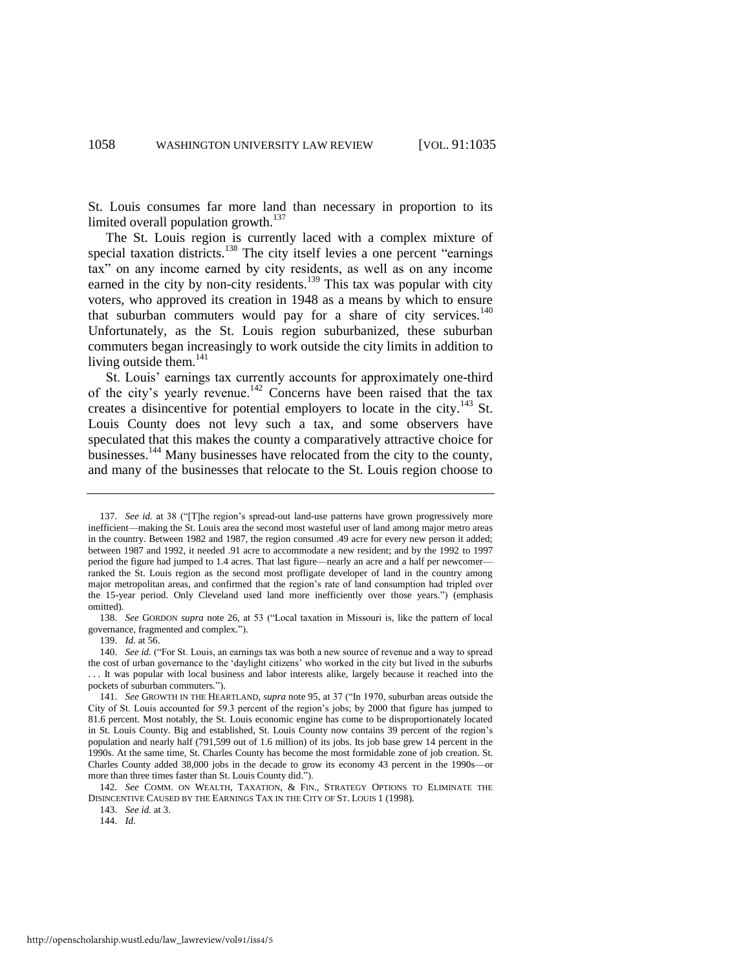St. Louis consumes far more land than necessary in proportion to its limited overall population growth. $137$ 

The St. Louis region is currently laced with a complex mixture of special taxation districts.<sup>138</sup> The city itself levies a one percent "earnings" tax" on any income earned by city residents, as well as on any income earned in the city by non-city residents.<sup>139</sup> This tax was popular with city voters, who approved its creation in 1948 as a means by which to ensure that suburban commuters would pay for a share of city services. $140$ Unfortunately, as the St. Louis region suburbanized, these suburban commuters began increasingly to work outside the city limits in addition to living outside them.<sup>141</sup>

St. Louis' earnings tax currently accounts for approximately one-third of the city's yearly revenue.<sup>142</sup> Concerns have been raised that the tax creates a disincentive for potential employers to locate in the city.<sup>143</sup> St. Louis County does not levy such a tax, and some observers have speculated that this makes the county a comparatively attractive choice for businesses.<sup>144</sup> Many businesses have relocated from the city to the county, and many of the businesses that relocate to the St. Louis region choose to

143. *See id.* at 3.

<sup>137.</sup> *See id.* at 38 ("[T]he region's spread-out land-use patterns have grown progressively more inefficient—making the St. Louis area the second most wasteful user of land among major metro areas in the country. Between 1982 and 1987, the region consumed .49 acre for every new person it added; between 1987 and 1992, it needed .91 acre to accommodate a new resident; and by the 1992 to 1997 period the figure had jumped to 1.4 acres. That last figure—nearly an acre and a half per newcomer ranked the St. Louis region as the second most profligate developer of land in the country among major metropolitan areas, and confirmed that the region's rate of land consumption had tripled over the 15-year period. Only Cleveland used land more inefficiently over those years.") (emphasis omitted).

<sup>138.</sup> *See* GORDON *supra* note [26,](#page-5-0) at 53 ("Local taxation in Missouri is, like the pattern of local governance, fragmented and complex.").

<sup>139.</sup> *Id.* at 56.

<sup>140.</sup> *See id.* ("For St. Louis, an earnings tax was both a new source of revenue and a way to spread the cost of urban governance to the 'daylight citizens' who worked in the city but lived in the suburbs . . . It was popular with local business and labor interests alike, largely because it reached into the pockets of suburban commuters.").

<sup>141.</sup> *See* GROWTH IN THE HEARTLAND, *supra* not[e 95,](#page-15-0) at 37 ("In 1970, suburban areas outside the City of St. Louis accounted for 59.3 percent of the region's jobs; by 2000 that figure has jumped to 81.6 percent. Most notably, the St. Louis economic engine has come to be disproportionately located in St. Louis County. Big and established, St. Louis County now contains 39 percent of the region's population and nearly half (791,599 out of 1.6 million) of its jobs. Its job base grew 14 percent in the 1990s. At the same time, St. Charles County has become the most formidable zone of job creation. St. Charles County added 38,000 jobs in the decade to grow its economy 43 percent in the 1990s—or more than three times faster than St. Louis County did.").

<sup>142.</sup> *See* COMM. ON WEALTH, TAXATION, & FIN., STRATEGY OPTIONS TO ELIMINATE THE DISINCENTIVE CAUSED BY THE EARNINGS TAX IN THE CITY OF ST. LOUIS 1 (1998).

<sup>144.</sup> *Id.*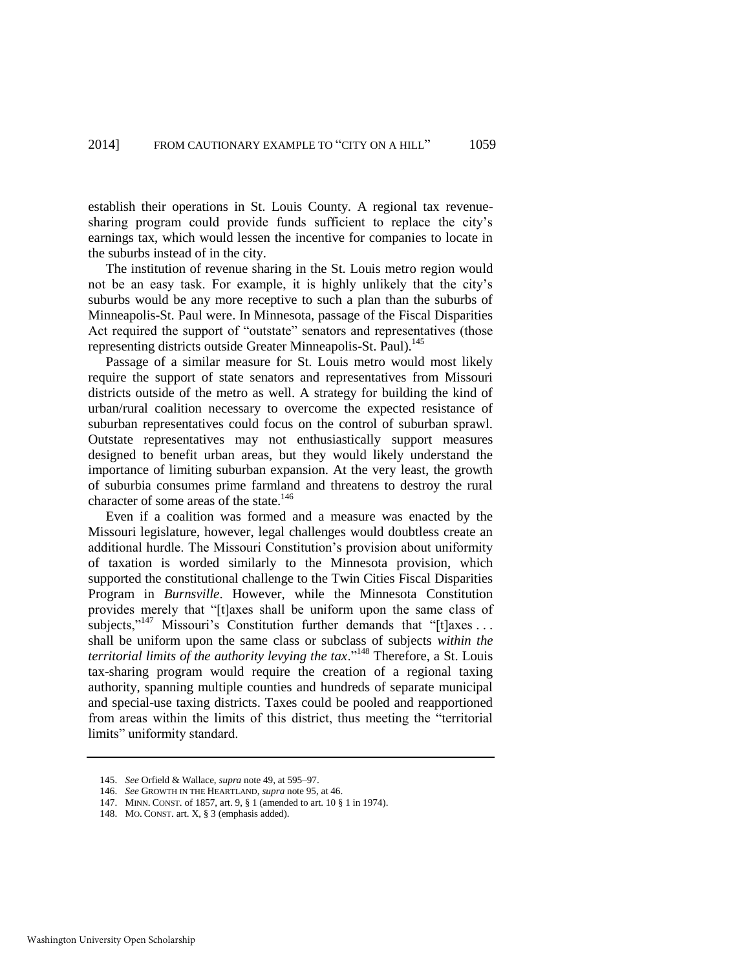establish their operations in St. Louis County. A regional tax revenuesharing program could provide funds sufficient to replace the city's earnings tax, which would lessen the incentive for companies to locate in the suburbs instead of in the city.

The institution of revenue sharing in the St. Louis metro region would not be an easy task. For example, it is highly unlikely that the city's suburbs would be any more receptive to such a plan than the suburbs of Minneapolis-St. Paul were. In Minnesota, passage of the Fiscal Disparities Act required the support of "outstate" senators and representatives (those representing districts outside Greater Minneapolis-St. Paul).<sup>145</sup>

Passage of a similar measure for St. Louis metro would most likely require the support of state senators and representatives from Missouri districts outside of the metro as well. A strategy for building the kind of urban/rural coalition necessary to overcome the expected resistance of suburban representatives could focus on the control of suburban sprawl. Outstate representatives may not enthusiastically support measures designed to benefit urban areas, but they would likely understand the importance of limiting suburban expansion. At the very least, the growth of suburbia consumes prime farmland and threatens to destroy the rural character of some areas of the state.<sup>146</sup>

Even if a coalition was formed and a measure was enacted by the Missouri legislature, however, legal challenges would doubtless create an additional hurdle. The Missouri Constitution's provision about uniformity of taxation is worded similarly to the Minnesota provision, which supported the constitutional challenge to the Twin Cities Fiscal Disparities Program in *Burnsville*. However, while the Minnesota Constitution provides merely that "[t]axes shall be uniform upon the same class of subjects,"<sup>147</sup> Missouri's Constitution further demands that "[t]axes ... shall be uniform upon the same class or subclass of subjects *within the territorial limits of the authority levying the tax*."<sup>148</sup> Therefore, a St. Louis tax-sharing program would require the creation of a regional taxing authority, spanning multiple counties and hundreds of separate municipal and special-use taxing districts. Taxes could be pooled and reapportioned from areas within the limits of this district, thus meeting the "territorial limits" uniformity standard.

<sup>145.</sup> *See* Orfield & Wallace, *supra* not[e 49,](#page-9-0) at 595–97.

<sup>146.</sup> *See* GROWTH IN THE HEARTLAND, *supra* not[e 95,](#page-15-0) at 46.

<sup>147.</sup> MINN. CONST. of 1857, art. 9, § 1 (amended to art. 10 § 1 in 1974).

<sup>148.</sup> MO. CONST. art. X, § 3 (emphasis added).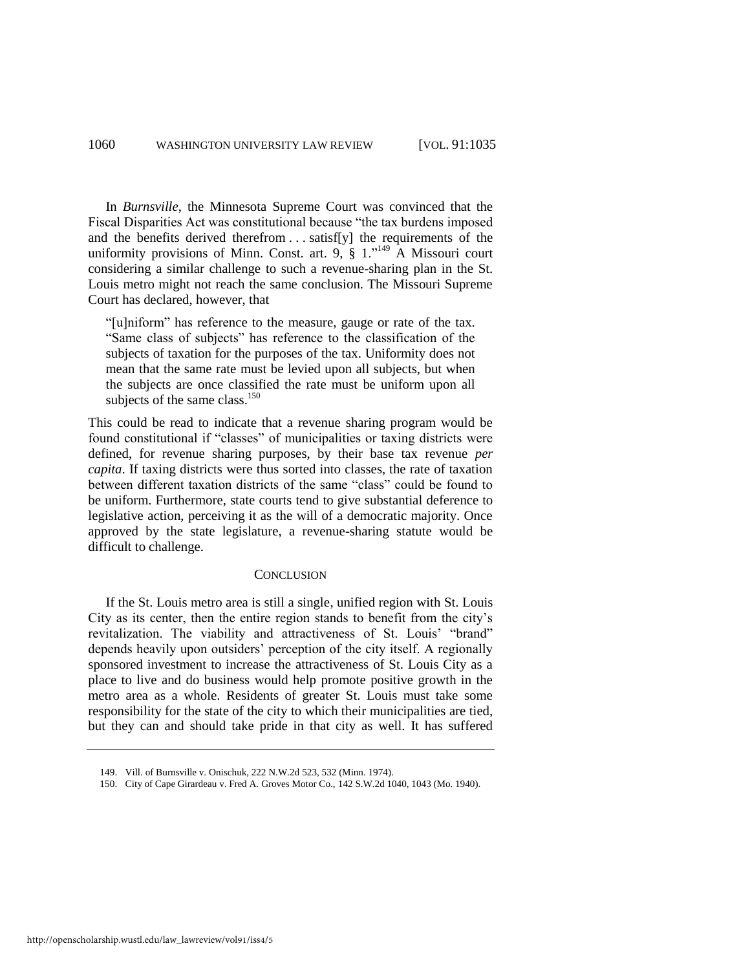In *Burnsville*, the Minnesota Supreme Court was convinced that the Fiscal Disparities Act was constitutional because "the tax burdens imposed and the benefits derived therefrom . . . satisf[y] the requirements of the uniformity provisions of Minn. Const. art. 9,  $\S 1$ .<sup>149</sup> A Missouri court considering a similar challenge to such a revenue-sharing plan in the St. Louis metro might not reach the same conclusion. The Missouri Supreme Court has declared, however, that

"[u]niform" has reference to the measure, gauge or rate of the tax. "Same class of subjects" has reference to the classification of the subjects of taxation for the purposes of the tax. Uniformity does not mean that the same rate must be levied upon all subjects, but when the subjects are once classified the rate must be uniform upon all subjects of the same class. $150$ 

This could be read to indicate that a revenue sharing program would be found constitutional if "classes" of municipalities or taxing districts were defined, for revenue sharing purposes, by their base tax revenue *per capita*. If taxing districts were thus sorted into classes, the rate of taxation between different taxation districts of the same "class" could be found to be uniform. Furthermore, state courts tend to give substantial deference to legislative action, perceiving it as the will of a democratic majority. Once approved by the state legislature, a revenue-sharing statute would be difficult to challenge.

#### **CONCLUSION**

If the St. Louis metro area is still a single, unified region with St. Louis City as its center, then the entire region stands to benefit from the city's revitalization. The viability and attractiveness of St. Louis' "brand" depends heavily upon outsiders' perception of the city itself. A regionally sponsored investment to increase the attractiveness of St. Louis City as a place to live and do business would help promote positive growth in the metro area as a whole. Residents of greater St. Louis must take some responsibility for the state of the city to which their municipalities are tied, but they can and should take pride in that city as well. It has suffered

<sup>149.</sup> Vill. of Burnsville v. Onischuk, 222 N.W.2d 523, 532 (Minn. 1974).

<sup>150.</sup> City of Cape Girardeau v. Fred A. Groves Motor Co., 142 S.W.2d 1040, 1043 (Mo. 1940).